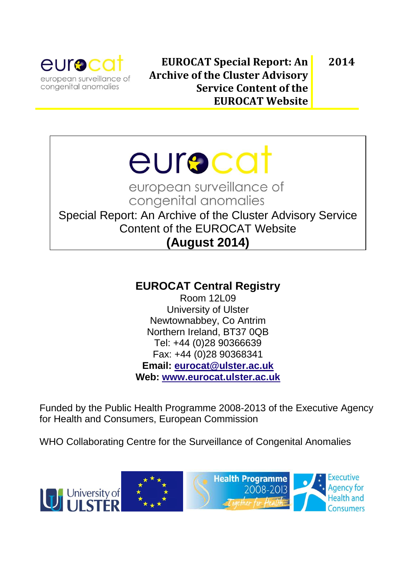

# eurscat

european surveillance of congenital anomalies

Special Report: An Archive of the Cluster Advisory Service Content of the EUROCAT Website **(August 2014)**

# **EUROCAT Central Registry**

Room 12L09 University of Ulster Newtownabbey, Co Antrim Northern Ireland, BT37 0QB Tel: +44 (0)28 90366639 Fax: +44 (0)28 90368341 **Email: [eurocat@ulster.ac.uk](mailto:eurocat@ulster.ac.uk) Web: [www.eurocat.ulster.ac.uk](http://www.eurocat.ulster.ac.uk/)**

Funded by the Public Health Programme 2008-2013 of the Executive Agency for Health and Consumers, European Commission

WHO Collaborating Centre for the Surveillance of Congenital Anomalies

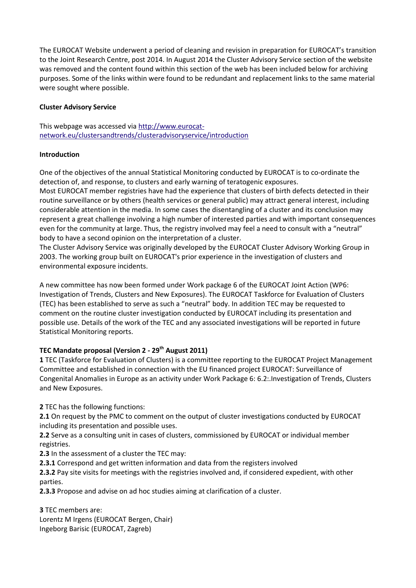The EUROCAT Website underwent a period of cleaning and revision in preparation for EUROCAT's transition to the Joint Research Centre, post 2014. In August 2014 the Cluster Advisory Service section of the website was removed and the content found within this section of the web has been included below for archiving purposes. Some of the links within were found to be redundant and replacement links to the same material were sought where possible.

### **Cluster Advisory Service**

This webpage was accessed via [http://www.eurocat](http://www.eurocat-network.eu/clustersandtrends/clusteradvisoryservice/introduction)[network.eu/clustersandtrends/clusteradvisoryservice/introduction](http://www.eurocat-network.eu/clustersandtrends/clusteradvisoryservice/introduction)

#### **Introduction**

One of the objectives of the annual Statistical Monitoring conducted by EUROCAT is to co-ordinate the detection of, and response, to clusters and early warning of teratogenic exposures. Most EUROCAT member registries have had the experience that clusters of birth defects detected in their routine surveillance or by others (health services or general public) may attract general interest, including considerable attention in the media. In some cases the disentangling of a cluster and its conclusion may represent a great challenge involving a high number of interested parties and with important consequences even for the community at large. Thus, the registry involved may feel a need to consult with a "neutral" body to have a second opinion on the interpretation of a cluster.

The Cluster Advisory Service was originally developed by the EUROCAT Cluster Advisory Working Group in 2003. The working group built on EUROCAT's prior experience in the investigation of clusters and environmental exposure incidents.

A new committee has now been formed under Work package 6 of the EUROCAT Joint Action (WP6: Investigation of Trends, Clusters and New Exposures). The EUROCAT Taskforce for Evaluation of Clusters (TEC) has been established to serve as such a "neutral" body. In addition TEC may be requested to comment on the routine cluster investigation conducted by EUROCAT including its presentation and possible use. Details of the work of the TEC and any associated investigations will be reported in future Statistical Monitoring reports.

## **TEC Mandate proposal (Version 2 - 29th August 2011)**

**1** TEC (Taskforce for Evaluation of Clusters) is a committee reporting to the EUROCAT Project Management Committee and established in connection with the EU financed project EUROCAT: Surveillance of Congenital Anomalies in Europe as an activity under Work Package 6: 6.2:.Investigation of Trends, Clusters and New Exposures.

**2** TEC has the following functions:

**2.1** On request by the PMC to comment on the output of cluster investigations conducted by EUROCAT including its presentation and possible uses.

**2.2** Serve as a consulting unit in cases of clusters, commissioned by EUROCAT or individual member registries.

**2.3** In the assessment of a cluster the TEC may:

**2.3.1** Correspond and get written information and data from the registers involved

**2.3.2** Pay site visits for meetings with the registries involved and, if considered expedient, with other parties.

**2.3.3** Propose and advise on ad hoc studies aiming at clarification of a cluster.

**3** TEC members are: Lorentz M Irgens (EUROCAT Bergen, Chair) Ingeborg Barisic (EUROCAT, Zagreb)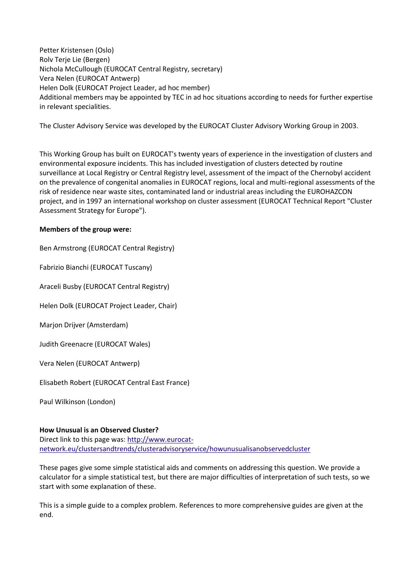Petter Kristensen (Oslo) Rolv Terje Lie (Bergen) Nichola McCullough (EUROCAT Central Registry, secretary) Vera Nelen (EUROCAT Antwerp) Helen Dolk (EUROCAT Project Leader, ad hoc member) Additional members may be appointed by TEC in ad hoc situations according to needs for further expertise in relevant specialities.

The Cluster Advisory Service was developed by the EUROCAT Cluster Advisory Working Group in 2003.

This Working Group has built on EUROCAT's twenty years of experience in the investigation of clusters and environmental exposure incidents. This has included investigation of clusters detected by routine surveillance at Local Registry or Central Registry level, assessment of the impact of the Chernobyl accident on the prevalence of congenital anomalies in EUROCAT regions, local and multi-regional assessments of the risk of residence near waste sites, contaminated land or industrial areas including the EUROHAZCON project, and in 1997 an international workshop on cluster assessment (EUROCAT Technical Report "Cluster Assessment Strategy for Europe").

#### **Members of the group were:**

Ben Armstrong (EUROCAT Central Registry) Fabrizio Bianchi (EUROCAT Tuscany) Araceli Busby (EUROCAT Central Registry) Helen Dolk (EUROCAT Project Leader, Chair) Marjon Drijver (Amsterdam)

Judith Greenacre (EUROCAT Wales)

Vera Nelen (EUROCAT Antwerp)

Elisabeth Robert (EUROCAT Central East France)

Paul Wilkinson (London)

## **How Unusual is an Observed Cluster?**

Direct link to this page was: [http://www.eurocat](http://www.eurocat-network.eu/clustersandtrends/clusteradvisoryservice/howunusualisanobservedcluster)[network.eu/clustersandtrends/clusteradvisoryservice/howunusualisanobservedcluster](http://www.eurocat-network.eu/clustersandtrends/clusteradvisoryservice/howunusualisanobservedcluster)

These pages give some simple statistical aids and comments on addressing this question. We provide a calculator for a simple statistical test, but there are major difficulties of interpretation of such tests, so we start with some explanation of these.

This is a simple guide to a complex problem. References to more comprehensive guides are given at the end.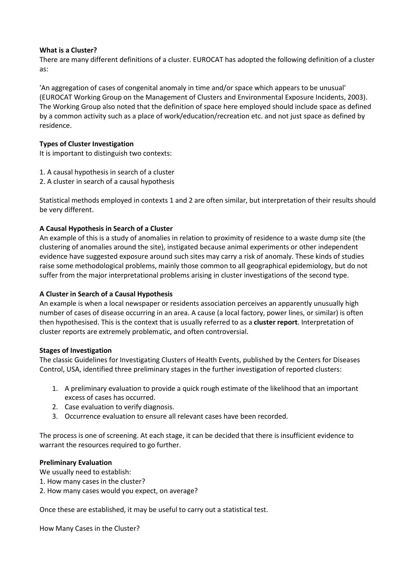#### **What is a Cluster?**

There are many different definitions of a cluster. EUROCAT has adopted the following definition of a cluster as:

'An aggregation of cases of congenital anomaly in time and/or space which appears to be unusual' (EUROCAT Working Group on the Management of Clusters and Environmental Exposure Incidents, 2003). The Working Group also noted that the definition of space here employed should include space as defined by a common activity such as a place of work/education/recreation etc. and not just space as defined by residence.

#### **Types of Cluster Investigation**

It is important to distinguish two contexts:

- 1. A causal hypothesis in search of a cluster
- 2. A cluster in search of a causal hypothesis

Statistical methods employed in contexts 1 and 2 are often similar, but interpretation of their results should be very different.

## **A Causal Hypothesis in Search of a Cluster**

An example of this is a study of anomalies in relation to proximity of residence to a waste dump site (the clustering of anomalies around the site), instigated because animal experiments or other independent evidence have suggested exposure around such sites may carry a risk of anomaly. These kinds of studies raise some methodological problems, mainly those common to all geographical epidemiology, but do not suffer from the major interpretational problems arising in cluster investigations of the second type.

#### **A Cluster in Search of a Causal Hypothesis**

An example is when a local newspaper or residents association perceives an apparently unusually high number of cases of disease occurring in an area. A cause (a local factory, power lines, or similar) is often then hypothesised. This is the context that is usually referred to as a **cluster report**. Interpretation of cluster reports are extremely problematic, and often controversial.

#### **Stages of Investigation**

The classic Guidelines for Investigating Clusters of Health Events, published by the Centers for Diseases Control, USA, identified three preliminary stages in the further investigation of reported clusters:

- 1. A preliminary evaluation to provide a quick rough estimate of the likelihood that an important excess of cases has occurred.
- 2. Case evaluation to verify diagnosis.
- 3. Occurrence evaluation to ensure all relevant cases have been recorded.

The process is one of screening. At each stage, it can be decided that there is insufficient evidence to warrant the resources required to go further.

#### **Preliminary Evaluation**

We usually need to establish:

- 1. How many cases in the cluster?
- 2. How many cases would you expect, on average?

Once these are established, it may be useful to carry out a statistical test.

How Many Cases in the Cluster?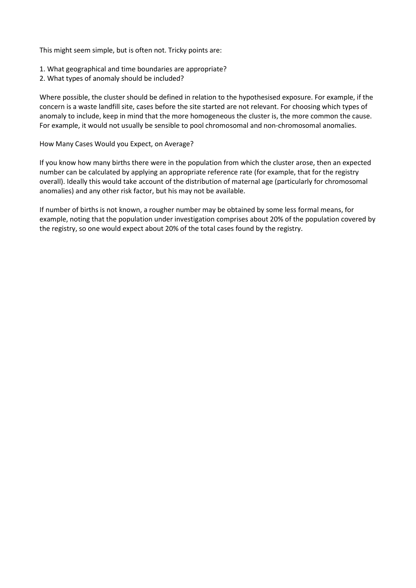This might seem simple, but is often not. Tricky points are:

- 1. What geographical and time boundaries are appropriate?
- 2. What types of anomaly should be included?

Where possible, the cluster should be defined in relation to the hypothesised exposure. For example, if the concern is a waste landfill site, cases before the site started are not relevant. For choosing which types of anomaly to include, keep in mind that the more homogeneous the cluster is, the more common the cause. For example, it would not usually be sensible to pool chromosomal and non-chromosomal anomalies.

How Many Cases Would you Expect, on Average?

If you know how many births there were in the population from which the cluster arose, then an expected number can be calculated by applying an appropriate reference rate (for example, that for the registry overall). Ideally this would take account of the distribution of maternal age (particularly for chromosomal anomalies) and any other risk factor, but his may not be available.

If number of births is not known, a rougher number may be obtained by some less formal means, for example, noting that the population under investigation comprises about 20% of the population covered by the registry, so one would expect about 20% of the total cases found by the registry.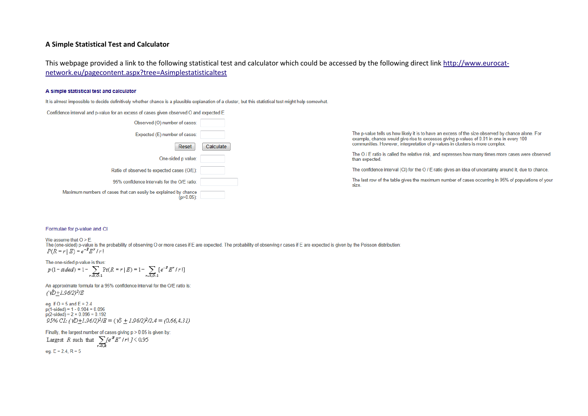#### **A Simple Statistical Test and Calculator**

This webpage provided a link to the following statistical test and calculator which could be accessed by the following direct lin[k http://www.eurocat](http://www.eurocat-network.eu/pagecontent.aspx?tree=Asimplestatisticaltest)[network.eu/pagecontent.aspx?tree=Asimplestatisticaltest](http://www.eurocat-network.eu/pagecontent.aspx?tree=Asimplestatisticaltest)

#### A simple statistical test and calculator

It is almost impossible to decide definitively whether chance is a plausible explanation of a cluster, but this statistical test might help somewhat.

Confidence interval and p-value for an excess of cases given observed O and expected E

| Observed (O) number of cases:                                                   |           |
|---------------------------------------------------------------------------------|-----------|
| Expected (E) number of cases:                                                   |           |
| Reset                                                                           | Calculate |
| One-sided p value:                                                              |           |
| Ratio of observed to expected cases (O/E):                                      |           |
| 95% confidence intervals for the O/F ratio:                                     |           |
| Maximum numbers of cases that can easily be explained by chance<br>$(p>0.05)$ : |           |

The p-value tells us how likely it is to have an excess of the size observed by chance alone. For example, chance would give rise to excesses giving p-values of 0.01 in one in every 100 communities. However, interpretation of p-values in clusters is more complex.

The O / E ratio is called the relative risk, and expresses how many times more cases were observed than expected.

The confidence interval (CI) for the O / E ratio gives an idea of uncertainty around it, due to chance.

The last row of the table gives the maximum number of cases occurring in 95% of populations of your size.

#### Formulae for p-value and CI

We assume that  $O > E$ . The (one-sided) p-value is the probability of observing O or more cases if E are expected. The probability of observing r cases if E are expected is given by the Poisson distribution  $P(R = r | E) = e^{-B} E^{r}/r!$ 

The one-sided p-value is thus:<br> $p(1-sided) = 1 - \sum_{r=0,0-1} Pr(R = r | E) = 1 - \sum_{r=0,0-1} [e^{-B} E^{r} / r!]$ 

An approximate formula for a 95% confidence interval for the O/E ratio is:  $(\sqrt{D}+1.96/2)^2/E$ 

eg. if  $O = 5$  and  $E = 2.4$  $p(1-\text{sided}) = 1 - 0.904 = 0.096$  $p(2-sided) = 2 \times 0.096 = 0.192$ 95% CI:  $(\sqrt{D}+1.96/2)^2/E = (\sqrt{5}+1.96/2)^2/2.4 = (0.66, 4.31)$ 

Finally, the largest number of cases giving p > 0.05 is given by: Largest R such that  $\sum_{r=0,k} [e^{-B} E^{r}/r] J \le 0.95$ eg.  $E = 2.4, R = 5$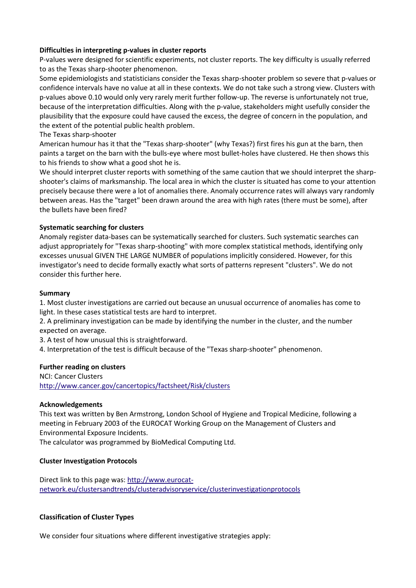### **Difficulties in interpreting p-values in cluster reports**

P-values were designed for scientific experiments, not cluster reports. The key difficulty is usually referred to as the Texas sharp-shooter phenomenon.

Some epidemiologists and statisticians consider the Texas sharp-shooter problem so severe that p-values or confidence intervals have no value at all in these contexts. We do not take such a strong view. Clusters with p-values above 0.10 would only very rarely merit further follow-up. The reverse is unfortunately not true, because of the interpretation difficulties. Along with the p-value, stakeholders might usefully consider the plausibility that the exposure could have caused the excess, the degree of concern in the population, and the extent of the potential public health problem.

#### The Texas sharp-shooter

American humour has it that the "Texas sharp-shooter" (why Texas?) first fires his gun at the barn, then paints a target on the barn with the bulls-eye where most bullet-holes have clustered. He then shows this to his friends to show what a good shot he is.

We should interpret cluster reports with something of the same caution that we should interpret the sharpshooter's claims of marksmanship. The local area in which the cluster is situated has come to your attention precisely because there were a lot of anomalies there. Anomaly occurrence rates will always vary randomly between areas. Has the "target" been drawn around the area with high rates (there must be some), after the bullets have been fired?

#### **Systematic searching for clusters**

Anomaly register data-bases can be systematically searched for clusters. Such systematic searches can adjust appropriately for "Texas sharp-shooting" with more complex statistical methods, identifying only excesses unusual GIVEN THE LARGE NUMBER of populations implicitly considered. However, for this investigator's need to decide formally exactly what sorts of patterns represent "clusters". We do not consider this further here.

#### **Summary**

1. Most cluster investigations are carried out because an unusual occurrence of anomalies has come to light. In these cases statistical tests are hard to interpret.

2. A preliminary investigation can be made by identifying the number in the cluster, and the number expected on average.

3. A test of how unusual this is straightforward.

4. Interpretation of the test is difficult because of the "Texas sharp-shooter" phenomenon.

#### **Further reading on clusters**

NCI: Cancer Clusters <http://www.cancer.gov/cancertopics/factsheet/Risk/clusters>

#### **Acknowledgements**

This text was written by Ben Armstrong, London School of Hygiene and Tropical Medicine, following a meeting in February 2003 of the EUROCAT Working Group on the Management of Clusters and Environmental Exposure Incidents.

The calculator was programmed b[y BioMedical Computing Ltd.](http://www.bio-medical.co.uk/)

#### **Cluster Investigation Protocols**

Direct link to this page was: [http://www.eurocat](http://www.eurocat-network.eu/clustersandtrends/clusteradvisoryservice/clusterinvestigationprotocols)[network.eu/clustersandtrends/clusteradvisoryservice/clusterinvestigationprotocols](http://www.eurocat-network.eu/clustersandtrends/clusteradvisoryservice/clusterinvestigationprotocols)

#### **Classification of Cluster Types**

We consider four situations where different investigative strategies apply: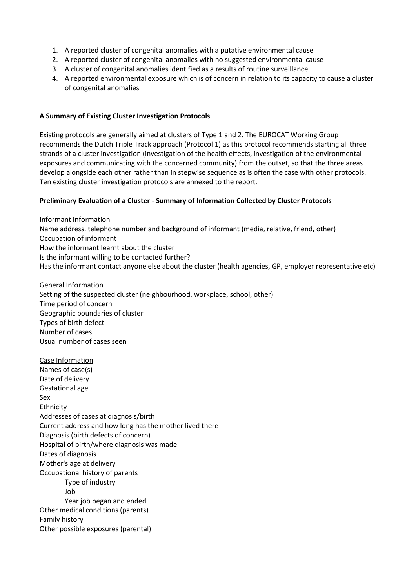- 1. A reported cluster of congenital anomalies with a putative environmental cause
- 2. A reported cluster of congenital anomalies with no suggested environmental cause
- 3. A cluster of congenital anomalies identified as a results of routine surveillance
- 4. A reported environmental exposure which is of concern in relation to its capacity to cause a cluster of congenital anomalies

#### **A Summary of Existing Cluster Investigation Protocols**

Existing protocols are generally aimed at clusters of Type 1 and 2. The EUROCAT Working Group recommends the Dutch Triple Track approach (Protocol 1) as this protocol recommends starting all three strands of a cluster investigation (investigation of the health effects, investigation of the environmental exposures and communicating with the concerned community) from the outset, so that the three areas develop alongside each other rather than in stepwise sequence as is often the case with other protocols. Ten existing cluster investigation protocols are annexed to the report.

#### **Preliminary Evaluation of a Cluster - Summary of Information Collected by Cluster Protocols**

Informant Information Name address, telephone number and background of informant (media, relative, friend, other) Occupation of informant How the informant learnt about the cluster Is the informant willing to be contacted further? Has the informant contact anyone else about the cluster (health agencies, GP, employer representative etc)

General Information Setting of the suspected cluster (neighbourhood, workplace, school, other) Time period of concern Geographic boundaries of cluster Types of birth defect Number of cases Usual number of cases seen

Case Information Names of case(s) Date of delivery Gestational age Sex Ethnicity Addresses of cases at diagnosis/birth Current address and how long has the mother lived there Diagnosis (birth defects of concern) Hospital of birth/where diagnosis was made Dates of diagnosis Mother's age at delivery Occupational history of parents Type of industry Job Year job began and ended Other medical conditions (parents) Family history Other possible exposures (parental)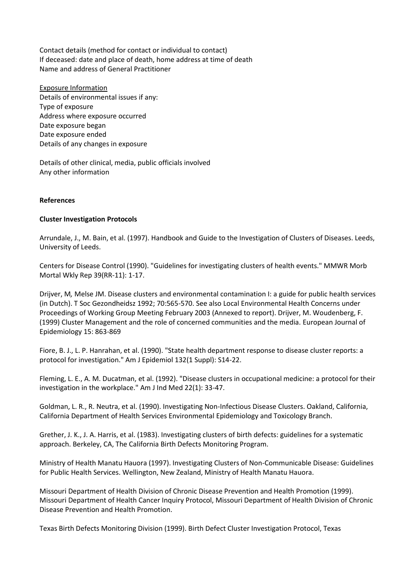Contact details (method for contact or individual to contact) If deceased: date and place of death, home address at time of death Name and address of General Practitioner

Exposure Information Details of environmental issues if any: Type of exposure Address where exposure occurred Date exposure began Date exposure ended Details of any changes in exposure

Details of other clinical, media, public officials involved Any other information

#### **References**

#### **Cluster Investigation Protocols**

Arrundale, J., M. Bain, et al. (1997). Handbook and Guide to the Investigation of Clusters of Diseases. Leeds, University of Leeds.

Centers for Disease Control (1990). "Guidelines for investigating clusters of health events." MMWR Morb Mortal Wkly Rep 39(RR-11): 1-17.

Drijver, M*,* Melse JM. Disease clusters and environmental contamination I: a guide for public health services (in Dutch). T Soc Gezondheidsz 1992; 70:565-570. See als[o Local Environmental Health Concerns](file:///D:/old%20computer/d/My%20Documents/eurocat/pdf/Drijver.pdf) under Proceedings of Working Group Meeting February 2003 (Annexed to report). Drijver, M. Woudenberg, F. (1999) Cluster Management and the role of concerned communities and the media. European Journal of Epidemiology 15: 863-869

Fiore, B. J., L. P. Hanrahan, et al. (1990). "State health department response to disease cluster reports: a protocol for investigation." Am J Epidemiol 132(1 Suppl): S14-22.

Fleming, L. E., A. M. Ducatman, et al. (1992). "Disease clusters in occupational medicine: a protocol for their investigation in the workplace." Am J Ind Med 22(1): 33-47.

Goldman, L. R., R. Neutra, et al. (1990). Investigating Non-Infectious Disease Clusters. Oakland, California, California Department of Health Services Environmental Epidemiology and Toxicology Branch.

Grether, J. K., J. A. Harris, et al. (1983). Investigating clusters of birth defects: guidelines for a systematic approach. Berkeley, CA, The California Birth Defects Monitoring Program.

Ministry of Health Manatu Hauora (1997). Investigating Clusters of Non-Communicable Disease: Guidelines for Public Health Services. Wellington, New Zealand, Ministry of Health Manatu Hauora.

Missouri Department of Health Division of Chronic Disease Prevention and Health Promotion (1999). Missouri Department of Health Cancer Inquiry Protocol, Missouri Department of Health Division of Chronic Disease Prevention and Health Promotion.

Texas Birth Defects Monitoring Division (1999). Birth Defect Cluster Investigation Protocol, Texas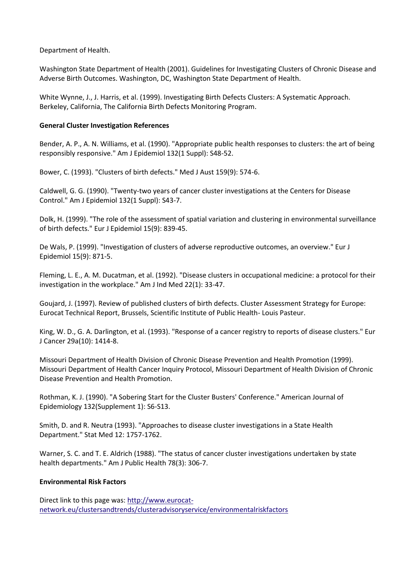Department of Health.

Washington State Department of Health (2001). Guidelines for Investigating Clusters of Chronic Disease and Adverse Birth Outcomes. Washington, DC, Washington State Department of Health.

White Wynne, J., J. Harris, et al. (1999). Investigating Birth Defects Clusters: A Systematic Approach. Berkeley, California, The California Birth Defects Monitoring Program.

#### **General Cluster Investigation References**

Bender, A. P., A. N. Williams, et al. (1990). "Appropriate public health responses to clusters: the art of being responsibly responsive." Am J Epidemiol 132(1 Suppl): S48-52.

Bower, C. (1993). "Clusters of birth defects." Med J Aust 159(9): 574-6.

Caldwell, G. G. (1990). "Twenty-two years of cancer cluster investigations at the Centers for Disease Control." Am J Epidemiol 132(1 Suppl): S43-7.

Dolk, H. (1999). "The role of the assessment of spatial variation and clustering in environmental surveillance of birth defects." Eur J Epidemiol 15(9): 839-45.

De Wals, P. (1999). "Investigation of clusters of adverse reproductive outcomes, an overview." Eur J Epidemiol 15(9): 871-5.

Fleming, L. E., A. M. Ducatman, et al. (1992). "Disease clusters in occupational medicine: a protocol for their investigation in the workplace." Am J Ind Med 22(1): 33-47.

Goujard, J. (1997). Review of published clusters of birth defects. Cluster Assessment Strategy for Europe: Eurocat Technical Report, Brussels, Scientific Institute of Public Health- Louis Pasteur.

King, W. D., G. A. Darlington, et al. (1993). "Response of a cancer registry to reports of disease clusters." Eur J Cancer 29a(10): 1414-8.

Missouri Department of Health Division of Chronic Disease Prevention and Health Promotion (1999). Missouri Department of Health Cancer Inquiry Protocol, Missouri Department of Health Division of Chronic Disease Prevention and Health Promotion.

Rothman, K. J. (1990). "A Sobering Start for the Cluster Busters' Conference." American Journal of Epidemiology 132(Supplement 1): S6-S13.

Smith, D. and R. Neutra (1993). "Approaches to disease cluster investigations in a State Health Department." Stat Med 12: 1757-1762.

Warner, S. C. and T. E. Aldrich (1988). "The status of cancer cluster investigations undertaken by state health departments." Am J Public Health 78(3): 306-7.

#### **Environmental Risk Factors**

Direct link to this page was: [http://www.eurocat](http://www.eurocat-network.eu/clustersandtrends/clusteradvisoryservice/environmentalriskfactors)[network.eu/clustersandtrends/clusteradvisoryservice/environmentalriskfactors](http://www.eurocat-network.eu/clustersandtrends/clusteradvisoryservice/environmentalriskfactors)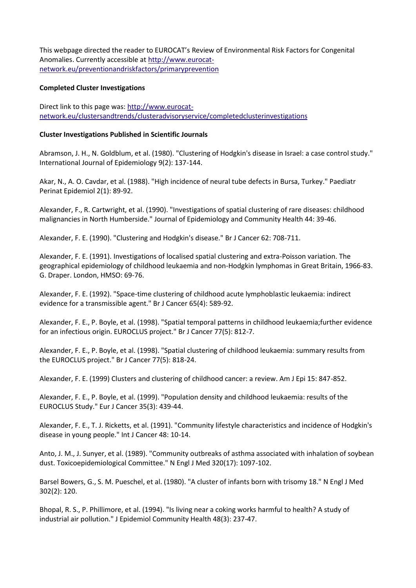This webpage directed the reader to EUROCAT's [Review of Environmental Risk Factors for Congenital](http://www.eurocat-network.eu/pagecontent.aspx?pageid=35)  [Anomalies.](http://www.eurocat-network.eu/pagecontent.aspx?pageid=35) Currently accessible at [http://www.eurocat](http://www.eurocat-network.eu/preventionandriskfactors/primaryprevention)[network.eu/preventionandriskfactors/primaryprevention](http://www.eurocat-network.eu/preventionandriskfactors/primaryprevention)

#### **Completed Cluster Investigations**

Direct link to this page was: [http://www.eurocat](http://www.eurocat-network.eu/clustersandtrends/clusteradvisoryservice/completedclusterinvestigations)[network.eu/clustersandtrends/clusteradvisoryservice/completedclusterinvestigations](http://www.eurocat-network.eu/clustersandtrends/clusteradvisoryservice/completedclusterinvestigations)

#### **Cluster Investigations Published in Scientific Journals**

Abramson, J. H., N. Goldblum, et al. (1980). "Clustering of Hodgkin's disease in Israel: a case control study." International Journal of Epidemiology 9(2): 137-144.

Akar, N., A. O. Cavdar, et al. (1988). "High incidence of neural tube defects in Bursa, Turkey." Paediatr Perinat Epidemiol 2(1): 89-92.

Alexander, F., R. Cartwright, et al. (1990). "Investigations of spatial clustering of rare diseases: childhood malignancies in North Humberside." Journal of Epidemiology and Community Health 44: 39-46.

Alexander, F. E. (1990). "Clustering and Hodgkin's disease." Br J Cancer 62: 708-711.

Alexander, F. E. (1991). Investigations of localised spatial clustering and extra-Poisson variation. The geographical epidemiology of childhood leukaemia and non-Hodgkin lymphomas in Great Britain, 1966-83. G. Draper. London, HMSO: 69-76.

Alexander, F. E. (1992). "Space-time clustering of childhood acute lymphoblastic leukaemia: indirect evidence for a transmissible agent." Br J Cancer 65(4): 589-92.

Alexander, F. E., P. Boyle, et al. (1998). "Spatial temporal patterns in childhood leukaemia;further evidence for an infectious origin. EUROCLUS project." Br J Cancer 77(5): 812-7.

Alexander, F. E., P. Boyle, et al. (1998). "Spatial clustering of childhood leukaemia: summary results from the EUROCLUS project." Br J Cancer 77(5): 818-24.

Alexander, F. E. (1999) Clusters and clustering of childhood cancer: a review. Am J Epi 15: 847-852.

Alexander, F. E., P. Boyle, et al. (1999). "Population density and childhood leukaemia: results of the EUROCLUS Study." Eur J Cancer 35(3): 439-44.

Alexander, F. E., T. J. Ricketts, et al. (1991). "Community lifestyle characteristics and incidence of Hodgkin's disease in young people." Int J Cancer 48: 10-14.

Anto, J. M., J. Sunyer, et al. (1989). "Community outbreaks of asthma associated with inhalation of soybean dust. Toxicoepidemiological Committee." N Engl J Med 320(17): 1097-102.

Barsel Bowers, G., S. M. Pueschel, et al. (1980). "A cluster of infants born with trisomy 18." N Engl J Med 302(2): 120.

Bhopal, R. S., P. Phillimore, et al. (1994). "Is living near a coking works harmful to health? A study of industrial air pollution." J Epidemiol Community Health 48(3): 237-47.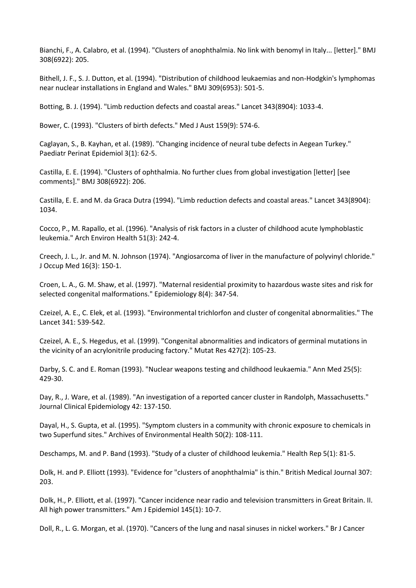Bianchi, F., A. Calabro, et al. (1994). "Clusters of anophthalmia. No link with benomyl in Italy... [letter]." BMJ 308(6922): 205.

Bithell, J. F., S. J. Dutton, et al. (1994). "Distribution of childhood leukaemias and non-Hodgkin's lymphomas near nuclear installations in England and Wales." BMJ 309(6953): 501-5.

Botting, B. J. (1994). "Limb reduction defects and coastal areas." Lancet 343(8904): 1033-4.

Bower, C. (1993). "Clusters of birth defects." Med J Aust 159(9): 574-6.

Caglayan, S., B. Kayhan, et al. (1989). "Changing incidence of neural tube defects in Aegean Turkey." Paediatr Perinat Epidemiol 3(1): 62-5.

Castilla, E. E. (1994). "Clusters of ophthalmia. No further clues from global investigation [letter] [see comments]." BMJ 308(6922): 206.

Castilla, E. E. and M. da Graca Dutra (1994). "Limb reduction defects and coastal areas." Lancet 343(8904): 1034.

Cocco, P., M. Rapallo, et al. (1996). "Analysis of risk factors in a cluster of childhood acute lymphoblastic leukemia." Arch Environ Health 51(3): 242-4.

Creech, J. L., Jr. and M. N. Johnson (1974). "Angiosarcoma of liver in the manufacture of polyvinyl chloride." J Occup Med 16(3): 150-1.

Croen, L. A., G. M. Shaw, et al. (1997). "Maternal residential proximity to hazardous waste sites and risk for selected congenital malformations." Epidemiology 8(4): 347-54.

Czeizel, A. E., C. Elek, et al. (1993). "Environmental trichlorfon and cluster of congenital abnormalities." The Lancet 341: 539-542.

Czeizel, A. E., S. Hegedus, et al. (1999). "Congenital abnormalities and indicators of germinal mutations in the vicinity of an acrylonitrile producing factory." Mutat Res 427(2): 105-23.

Darby, S. C. and E. Roman (1993). "Nuclear weapons testing and childhood leukaemia." Ann Med 25(5): 429-30.

Day, R., J. Ware, et al. (1989). "An investigation of a reported cancer cluster in Randolph, Massachusetts." Journal Clinical Epidemiology 42: 137-150.

Dayal, H., S. Gupta, et al. (1995). "Symptom clusters in a community with chronic exposure to chemicals in two Superfund sites." Archives of Environmental Health 50(2): 108-111.

Deschamps, M. and P. Band (1993). "Study of a cluster of childhood leukemia." Health Rep 5(1): 81-5.

Dolk, H. and P. Elliott (1993). "Evidence for "clusters of anophthalmia" is thin." British Medical Journal 307: 203.

Dolk, H., P. Elliott, et al. (1997). "Cancer incidence near radio and television transmitters in Great Britain. II. All high power transmitters." Am J Epidemiol 145(1): 10-7.

Doll, R., L. G. Morgan, et al. (1970). "Cancers of the lung and nasal sinuses in nickel workers." Br J Cancer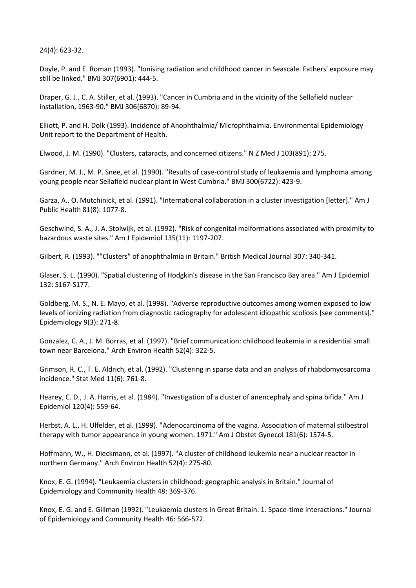24(4): 623-32.

Doyle, P. and E. Roman (1993). "Ionising radiation and childhood cancer in Seascale. Fathers' exposure may still be linked." BMJ 307(6901): 444-5.

Draper, G. J., C. A. Stiller, et al. (1993). "Cancer in Cumbria and in the vicinity of the Sellafield nuclear installation, 1963-90." BMJ 306(6870): 89-94.

Elliott, P. and H. Dolk (1993). Incidence of Anophthalmia/ Microphthalmia. Environmental Epidemiology Unit report to the Department of Health.

Elwood, J. M. (1990). "Clusters, cataracts, and concerned citizens." N Z Med J 103(891): 275.

Gardner, M. J., M. P. Snee, et al. (1990). "Results of case-control study of leukaemia and lymphoma among young people near Sellafield nuclear plant in West Cumbria." BMJ 300(6722): 423-9.

Garza, A., O. Mutchinick, et al. (1991). "International collaboration in a cluster investigation [letter]." Am J Public Health 81(8): 1077-8.

Geschwind, S. A., J. A. Stolwijk, et al. (1992). "Risk of congenital malformations associated with proximity to hazardous waste sites." Am J Epidemiol 135(11): 1197-207.

Gilbert, R. (1993). ""Clusters" of anophthalmia in Britain." British Medical Journal 307: 340-341.

Glaser, S. L. (1990). "Spatial clustering of Hodgkin's disease in the San Francisco Bay area." Am J Epidemiol 132: S167-S177.

Goldberg, M. S., N. E. Mayo, et al. (1998). "Adverse reproductive outcomes among women exposed to low levels of ionizing radiation from diagnostic radiography for adolescent idiopathic scoliosis [see comments]." Epidemiology 9(3): 271-8.

Gonzalez, C. A., J. M. Borras, et al. (1997). "Brief communication: childhood leukemia in a residential small town near Barcelona." Arch Environ Health 52(4): 322-5.

Grimson, R. C., T. E. Aldrich, et al. (1992). "Clustering in sparse data and an analysis of rhabdomyosarcoma incidence." Stat Med 11(6): 761-8.

Hearey, C. D., J. A. Harris, et al. (1984). "Investigation of a cluster of anencephaly and spina bifida." Am J Epidemiol 120(4): 559-64.

Herbst, A. L., H. Ulfelder, et al. (1999). "Adenocarcinoma of the vagina. Association of maternal stilbestrol therapy with tumor appearance in young women. 1971." Am J Obstet Gynecol 181(6): 1574-5.

Hoffmann, W., H. Dieckmann, et al. (1997). "A cluster of childhood leukemia near a nuclear reactor in northern Germany." Arch Environ Health 52(4): 275-80.

Knox, E. G. (1994). "Leukaemia clusters in childhood: geographic analysis in Britain." Journal of Epidemiology and Community Health 48: 369-376.

Knox, E. G. and E. Gillman (1992). "Leukaemia clusters in Great Britain. 1. Space-time interactions." Journal of Epidemiology and Community Health 46: 566-572.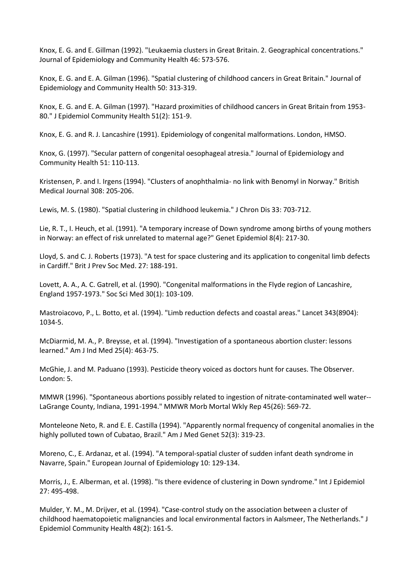Knox, E. G. and E. Gillman (1992). "Leukaemia clusters in Great Britain. 2. Geographical concentrations." Journal of Epidemiology and Community Health 46: 573-576.

Knox, E. G. and E. A. Gilman (1996). "Spatial clustering of childhood cancers in Great Britain." Journal of Epidemiology and Community Health 50: 313-319.

Knox, E. G. and E. A. Gilman (1997). "Hazard proximities of childhood cancers in Great Britain from 1953- 80." J Epidemiol Community Health 51(2): 151-9.

Knox, E. G. and R. J. Lancashire (1991). Epidemiology of congenital malformations. London, HMSO.

Knox, G. (1997). "Secular pattern of congenital oesophageal atresia." Journal of Epidemiology and Community Health 51: 110-113.

Kristensen, P. and I. Irgens (1994). "Clusters of anophthalmia- no link with Benomyl in Norway." British Medical Journal 308: 205-206.

Lewis, M. S. (1980). "Spatial clustering in childhood leukemia." J Chron Dis 33: 703-712.

Lie, R. T., I. Heuch, et al. (1991). "A temporary increase of Down syndrome among births of young mothers in Norway: an effect of risk unrelated to maternal age?" Genet Epidemiol 8(4): 217-30.

Lloyd, S. and C. J. Roberts (1973). "A test for space clustering and its application to congenital limb defects in Cardiff." Brit J Prev Soc Med. 27: 188-191.

Lovett, A. A., A. C. Gatrell, et al. (1990). "Congenital malformations in the Flyde region of Lancashire, England 1957-1973." Soc Sci Med 30(1): 103-109.

Mastroiacovo, P., L. Botto, et al. (1994). "Limb reduction defects and coastal areas." Lancet 343(8904): 1034-5.

McDiarmid, M. A., P. Breysse, et al. (1994). "Investigation of a spontaneous abortion cluster: lessons learned." Am J Ind Med 25(4): 463-75.

McGhie, J. and M. Paduano (1993). Pesticide theory voiced as doctors hunt for causes. The Observer. London: 5.

MMWR (1996). "Spontaneous abortions possibly related to ingestion of nitrate-contaminated well water-- LaGrange County, Indiana, 1991-1994." MMWR Morb Mortal Wkly Rep 45(26): 569-72.

Monteleone Neto, R. and E. E. Castilla (1994). "Apparently normal frequency of congenital anomalies in the highly polluted town of Cubatao, Brazil." Am J Med Genet 52(3): 319-23.

Moreno, C., E. Ardanaz, et al. (1994). "A temporal-spatial cluster of sudden infant death syndrome in Navarre, Spain." European Journal of Epidemiology 10: 129-134.

Morris, J., E. Alberman, et al. (1998). "Is there evidence of clustering in Down syndrome." Int J Epidemiol 27: 495-498.

Mulder, Y. M., M. Drijver, et al. (1994). "Case-control study on the association between a cluster of childhood haematopoietic malignancies and local environmental factors in Aalsmeer, The Netherlands." J Epidemiol Community Health 48(2): 161-5.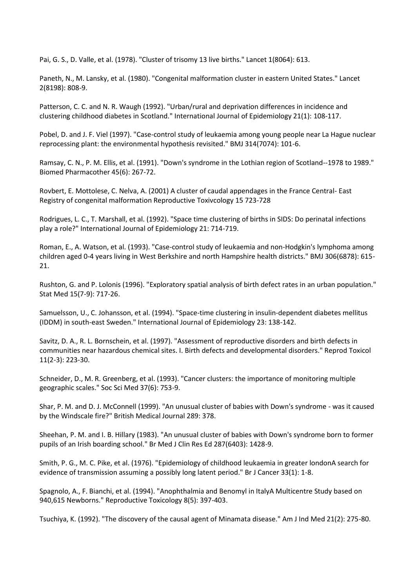Pai, G. S., D. Valle, et al. (1978). "Cluster of trisomy 13 live births." Lancet 1(8064): 613.

Paneth, N., M. Lansky, et al. (1980). "Congenital malformation cluster in eastern United States." Lancet 2(8198): 808-9.

Patterson, C. C. and N. R. Waugh (1992). "Urban/rural and deprivation differences in incidence and clustering childhood diabetes in Scotland." International Journal of Epidemiology 21(1): 108-117.

Pobel, D. and J. F. Viel (1997). "Case-control study of leukaemia among young people near La Hague nuclear reprocessing plant: the environmental hypothesis revisited." BMJ 314(7074): 101-6.

Ramsay, C. N., P. M. Ellis, et al. (1991). "Down's syndrome in the Lothian region of Scotland--1978 to 1989." Biomed Pharmacother 45(6): 267-72.

Rovbert, E. Mottolese, C. Nelva, A. (2001) A cluster of caudal appendages in the France Central- East Registry of congenital malformation Reproductive Toxivcology 15 723-728

Rodrigues, L. C., T. Marshall, et al. (1992). "Space time clustering of births in SIDS: Do perinatal infections play a role?" International Journal of Epidemiology 21: 714-719.

Roman, E., A. Watson, et al. (1993). "Case-control study of leukaemia and non-Hodgkin's lymphoma among children aged 0-4 years living in West Berkshire and north Hampshire health districts." BMJ 306(6878): 615- 21.

Rushton, G. and P. Lolonis (1996). "Exploratory spatial analysis of birth defect rates in an urban population." Stat Med 15(7-9): 717-26.

Samuelsson, U., C. Johansson, et al. (1994). "Space-time clustering in insulin-dependent diabetes mellitus (IDDM) in south-east Sweden." International Journal of Epidemiology 23: 138-142.

Savitz, D. A., R. L. Bornschein, et al. (1997). "Assessment of reproductive disorders and birth defects in communities near hazardous chemical sites. I. Birth defects and developmental disorders." Reprod Toxicol 11(2-3): 223-30.

Schneider, D., M. R. Greenberg, et al. (1993). "Cancer clusters: the importance of monitoring multiple geographic scales." Soc Sci Med 37(6): 753-9.

Shar, P. M. and D. J. McConnell (1999). "An unusual cluster of babies with Down's syndrome - was it caused by the Windscale fire?" British Medical Journal 289: 378.

Sheehan, P. M. and I. B. Hillary (1983). "An unusual cluster of babies with Down's syndrome born to former pupils of an Irish boarding school." Br Med J Clin Res Ed 287(6403): 1428-9.

Smith, P. G., M. C. Pike, et al. (1976). "Epidemiology of childhood leukaemia in greater londonA search for evidence of transmission assuming a possibly long latent period." Br J Cancer 33(1): 1-8.

Spagnolo, A., F. Bianchi, et al. (1994). "Anophthalmia and Benomyl in ItalyA Multicentre Study based on 940,615 Newborns." Reproductive Toxicology 8(5): 397-403.

Tsuchiya, K. (1992). "The discovery of the causal agent of Minamata disease." Am J Ind Med 21(2): 275-80.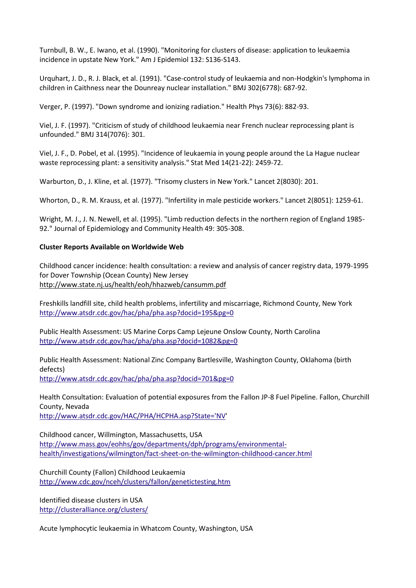Turnbull, B. W., E. Iwano, et al. (1990). "Monitoring for clusters of disease: application to leukaemia incidence in upstate New York." Am J Epidemiol 132: S136-S143.

Urquhart, J. D., R. J. Black, et al. (1991). "Case-control study of leukaemia and non-Hodgkin's lymphoma in children in Caithness near the Dounreay nuclear installation." BMJ 302(6778): 687-92.

Verger, P. (1997). "Down syndrome and ionizing radiation." Health Phys 73(6): 882-93.

Viel, J. F. (1997). "Criticism of study of childhood leukaemia near French nuclear reprocessing plant is unfounded." BMJ 314(7076): 301.

Viel, J. F., D. Pobel, et al. (1995). "Incidence of leukaemia in young people around the La Hague nuclear waste reprocessing plant: a sensitivity analysis." Stat Med 14(21-22): 2459-72.

Warburton, D., J. Kline, et al. (1977). "Trisomy clusters in New York." Lancet 2(8030): 201.

Whorton, D., R. M. Krauss, et al. (1977). "Infertility in male pesticide workers." Lancet 2(8051): 1259-61.

Wright, M. J., J. N. Newell, et al. (1995). "Limb reduction defects in the northern region of England 1985- 92." Journal of Epidemiology and Community Health 49: 305-308.

#### **Cluster Reports Available on Worldwide Web**

Childhood cancer incidence: health consultation: a review and analysis of cancer registry data, 1979-1995 for Dover Township (Ocean County) New Jersey <http://www.state.nj.us/health/eoh/hhazweb/cansumm.pdf>

Freshkills landfill site, child health problems, infertility and miscarriage, Richmond County, New York <http://www.atsdr.cdc.gov/hac/pha/pha.asp?docid=195&pg=0>

Public Health Assessment: US Marine Corps Camp Lejeune Onslow County, North Carolina <http://www.atsdr.cdc.gov/hac/pha/pha.asp?docid=1082&pg=0>

Public Health Assessment: National Zinc Company Bartlesville, Washington County, Oklahoma (birth defects) <http://www.atsdr.cdc.gov/hac/pha/pha.asp?docid=701&pg=0>

Health Consultation: Evaluation of potential exposures from the Fallon JP-8 Fuel Pipeline. Fallon, Churchill County, Nevada [http://www.atsdr.cdc.gov/HAC/PHA/HCPHA.asp?State='NV'](http://www.atsdr.cdc.gov/HAC/PHA/HCPHA.asp?State=)

Childhood cancer, Willmington, Massachusetts, USA

[http://www.mass.gov/eohhs/gov/departments/dph/programs/environmental](http://www.mass.gov/eohhs/gov/departments/dph/programs/environmental-health/investigations/wilmington/fact-sheet-on-the-wilmington-childhood-cancer.html)[health/investigations/wilmington/fact-sheet-on-the-wilmington-childhood-cancer.html](http://www.mass.gov/eohhs/gov/departments/dph/programs/environmental-health/investigations/wilmington/fact-sheet-on-the-wilmington-childhood-cancer.html)

Churchill County (Fallon) Childhood Leukaemia <http://www.cdc.gov/nceh/clusters/fallon/genetictesting.htm>

Identified disease clusters in USA <http://clusteralliance.org/clusters/>

Acute lymphocytic leukaemia in Whatcom County, Washington, USA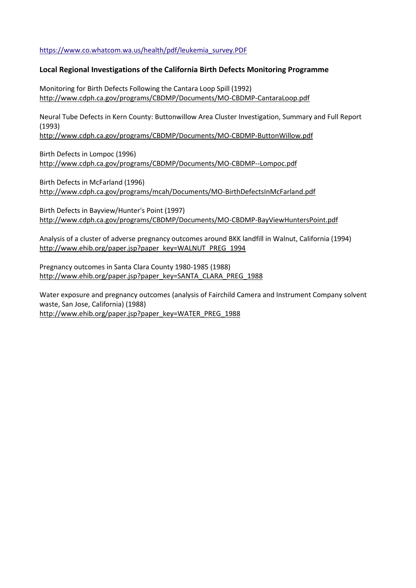[https://www.co.whatcom.wa.us/health/pdf/leukemia\\_survey.PDF](https://www.co.whatcom.wa.us/health/pdf/leukemia_survey.PDF)

## **Local Regional Investigations of the California Birth Defects Monitoring Programme**

Monitoring for Birth Defects Following the Cantara Loop Spill (1992) <http://www.cdph.ca.gov/programs/CBDMP/Documents/MO-CBDMP-CantaraLoop.pdf>

Neural Tube Defects in Kern County: Buttonwillow Area Cluster Investigation, Summary and Full Report (1993)

<http://www.cdph.ca.gov/programs/CBDMP/Documents/MO-CBDMP-ButtonWillow.pdf>

Birth Defects in Lompoc (1996) <http://www.cdph.ca.gov/programs/CBDMP/Documents/MO-CBDMP--Lompoc.pdf>

Birth Defects in McFarland (1996) <http://www.cdph.ca.gov/programs/mcah/Documents/MO-BirthDefectsInMcFarland.pdf>

Birth Defects in Bayview/Hunter's Point (1997) <http://www.cdph.ca.gov/programs/CBDMP/Documents/MO-CBDMP-BayViewHuntersPoint.pdf>

Analysis of a cluster of adverse pregnancy outcomes around BKK landfill in Walnut, California (1994) [http://www.ehib.org/paper.jsp?paper\\_key=WALNUT\\_PREG\\_1994](http://www.ehib.org/paper.jsp?paper_key=WALNUT_PREG_1994)

Pregnancy outcomes in Santa Clara County 1980-1985 (1988) [http://www.ehib.org/paper.jsp?paper\\_key=SANTA\\_CLARA\\_PREG\\_1988](http://www.ehib.org/paper.jsp?paper_key=SANTA_CLARA_PREG_1988)

Water exposure and pregnancy outcomes (analysis of Fairchild Camera and Instrument Company solvent waste, San Jose, California) (1988) [http://www.ehib.org/paper.jsp?paper\\_key=WATER\\_PREG\\_1988](http://www.ehib.org/paper.jsp?paper_key=WATER_PREG_1988)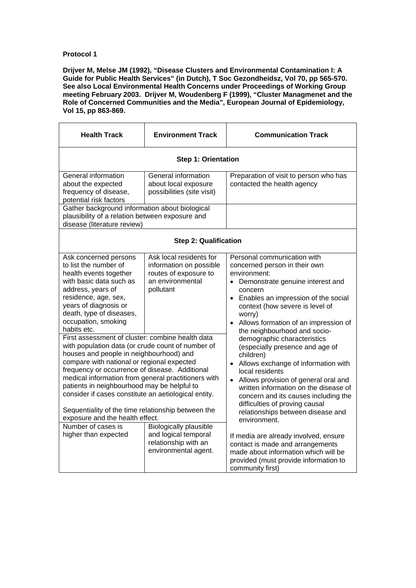**Drijver M, Melse JM (1992), "Disease Clusters and Environmental Contamination I: A Guide for Public Health Services" (in Dutch), T Soc Gezondheidsz, Vol 70, pp 565-570. See also Local Environmental Health Concerns under Proceedings of Working Group meeting February 2003. Drijver M, Woudenberg F (1999), "Cluster Managmenet and the Role of Concerned Communities and the Media", European Journal of Epidemiology, Vol 15, pp 863-869.** 

| <b>Health Track</b>                                                                                                                                                                                                                                                                                                                                                                                                                                                                                                                                                                                                                                                                                                 | <b>Environment Track</b>                                                                                     | <b>Communication Track</b>                                                                                                                                                                                                                                                                                                                                                                                                                                                                                                                                                                                              |  |
|---------------------------------------------------------------------------------------------------------------------------------------------------------------------------------------------------------------------------------------------------------------------------------------------------------------------------------------------------------------------------------------------------------------------------------------------------------------------------------------------------------------------------------------------------------------------------------------------------------------------------------------------------------------------------------------------------------------------|--------------------------------------------------------------------------------------------------------------|-------------------------------------------------------------------------------------------------------------------------------------------------------------------------------------------------------------------------------------------------------------------------------------------------------------------------------------------------------------------------------------------------------------------------------------------------------------------------------------------------------------------------------------------------------------------------------------------------------------------------|--|
|                                                                                                                                                                                                                                                                                                                                                                                                                                                                                                                                                                                                                                                                                                                     | <b>Step 1: Orientation</b>                                                                                   |                                                                                                                                                                                                                                                                                                                                                                                                                                                                                                                                                                                                                         |  |
| General information<br>about the expected<br>frequency of disease,<br>potential risk factors                                                                                                                                                                                                                                                                                                                                                                                                                                                                                                                                                                                                                        | General information<br>about local exposure<br>possibilities (site visit)                                    | Preparation of visit to person who has<br>contacted the health agency                                                                                                                                                                                                                                                                                                                                                                                                                                                                                                                                                   |  |
| Gather background information about biological<br>plausibility of a relation between exposure and<br>disease (literature review)                                                                                                                                                                                                                                                                                                                                                                                                                                                                                                                                                                                    |                                                                                                              |                                                                                                                                                                                                                                                                                                                                                                                                                                                                                                                                                                                                                         |  |
|                                                                                                                                                                                                                                                                                                                                                                                                                                                                                                                                                                                                                                                                                                                     | <b>Step 2: Qualification</b>                                                                                 |                                                                                                                                                                                                                                                                                                                                                                                                                                                                                                                                                                                                                         |  |
| Ask concerned persons<br>to list the number of<br>health events together<br>with basic data such as<br>address, years of<br>residence, age, sex,<br>years of diagnosis or<br>death, type of diseases,<br>occupation, smoking<br>habits etc.<br>First assessment of cluster: combine health data<br>with population data (or crude count of number of<br>houses and people in neighbourhood) and<br>compare with national or regional expected<br>frequency or occurrence of disease. Additional<br>medical information from general practitioners with<br>patients in neighbourhood may be helpful to<br>consider if cases constitute an aetiological entity.<br>Sequentiality of the time relationship between the | Ask local residents for<br>information on possible<br>routes of exposure to<br>an environmental<br>pollutant | Personal communication with<br>concerned person in their own<br>environment:<br>Demonstrate genuine interest and<br>concern<br>• Enables an impression of the social<br>context (how severe is level of<br>worry)<br>Allows formation of an impression of<br>the neighbourhood and socio-<br>demographic characteristics<br>(especially presence and age of<br>children)<br>Allows exchange of information with<br>$\bullet$<br>local residents<br>Allows provision of general oral and<br>$\bullet$<br>written information on the disease of<br>concern and its causes including the<br>difficulties of proving causal |  |
| exposure and the health effect.<br>Number of cases is<br>higher than expected                                                                                                                                                                                                                                                                                                                                                                                                                                                                                                                                                                                                                                       | <b>Biologically plausible</b><br>and logical temporal<br>relationship with an<br>environmental agent.        | relationships between disease and<br>environment.<br>If media are already involved, ensure<br>contact is made and arrangements<br>made about information which will be<br>provided (must provide information to<br>community first)                                                                                                                                                                                                                                                                                                                                                                                     |  |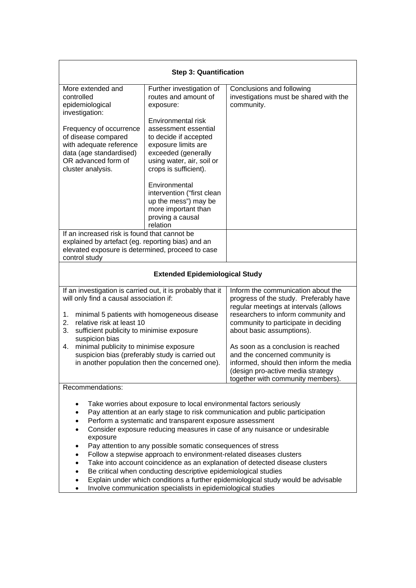| <b>Step 3: Quantification</b>                                                                                                                                                                                      |                                                                                                                                                   |                                                                                                                                                                                          |
|--------------------------------------------------------------------------------------------------------------------------------------------------------------------------------------------------------------------|---------------------------------------------------------------------------------------------------------------------------------------------------|------------------------------------------------------------------------------------------------------------------------------------------------------------------------------------------|
| More extended and<br>controlled<br>epidemiological<br>investigation:                                                                                                                                               | Further investigation of<br>routes and amount of<br>exposure:                                                                                     | Conclusions and following<br>investigations must be shared with the<br>community.                                                                                                        |
|                                                                                                                                                                                                                    | Environmental risk                                                                                                                                |                                                                                                                                                                                          |
| Frequency of occurrence<br>of disease compared<br>with adequate reference<br>data (age standardised)<br>OR advanced form of<br>cluster analysis.                                                                   | assessment essential<br>to decide if accepted<br>exposure limits are<br>exceeded (generally<br>using water, air, soil or<br>crops is sufficient). |                                                                                                                                                                                          |
|                                                                                                                                                                                                                    | Environmental<br>intervention ("first clean<br>up the mess") may be<br>more important than<br>proving a causal<br>relation                        |                                                                                                                                                                                          |
| If an increased risk is found that cannot be<br>explained by artefact (eg. reporting bias) and an                                                                                                                  |                                                                                                                                                   |                                                                                                                                                                                          |
| elevated exposure is determined, proceed to case                                                                                                                                                                   |                                                                                                                                                   |                                                                                                                                                                                          |
| control study                                                                                                                                                                                                      |                                                                                                                                                   |                                                                                                                                                                                          |
|                                                                                                                                                                                                                    | <b>Extended Epidemiological Study</b>                                                                                                             |                                                                                                                                                                                          |
| If an investigation is carried out, it is probably that it<br>Inform the communication about the<br>will only find a causal association if:<br>progress of the study. Preferably have                              |                                                                                                                                                   |                                                                                                                                                                                          |
| 1.<br>minimal 5 patients with homogeneous disease<br>relative risk at least 10<br>2.<br>3.<br>sufficient publicity to minimise exposure                                                                            |                                                                                                                                                   | regular meetings at intervals (allows<br>researchers to inform community and<br>community to participate in deciding<br>about basic assumptions).                                        |
| suspicion bias<br>minimal publicity to minimise exposure<br>4.<br>suspicion bias (preferably study is carried out<br>in another population then the concerned one).                                                |                                                                                                                                                   | As soon as a conclusion is reached<br>and the concerned community is<br>informed, should then inform the media<br>(design pro-active media strategy<br>together with community members). |
| Recommendations:                                                                                                                                                                                                   |                                                                                                                                                   |                                                                                                                                                                                          |
| Take worries about exposure to local environmental factors seriously<br>Pay attention at an early stage to risk communication and public participation<br>Perform a systematic and transparent exposure assessment |                                                                                                                                                   |                                                                                                                                                                                          |
|                                                                                                                                                                                                                    | Consider exposure reducing measures in case of any nuisance or undesirable                                                                        |                                                                                                                                                                                          |
|                                                                                                                                                                                                                    | exposure<br>Pay attention to any possible somatic consequences of stress                                                                          |                                                                                                                                                                                          |
|                                                                                                                                                                                                                    | Follow a stepwise approach to environment-related diseases clusters                                                                               |                                                                                                                                                                                          |
|                                                                                                                                                                                                                    |                                                                                                                                                   | Take into account coincidence as an explanation of detected disease clusters                                                                                                             |
| Be critical when conducting descriptive epidemiological studies<br>Explain under which conditions a further epidemiological study would be advisable                                                               |                                                                                                                                                   |                                                                                                                                                                                          |
| Involve communication specialists in epidemiological studies                                                                                                                                                       |                                                                                                                                                   |                                                                                                                                                                                          |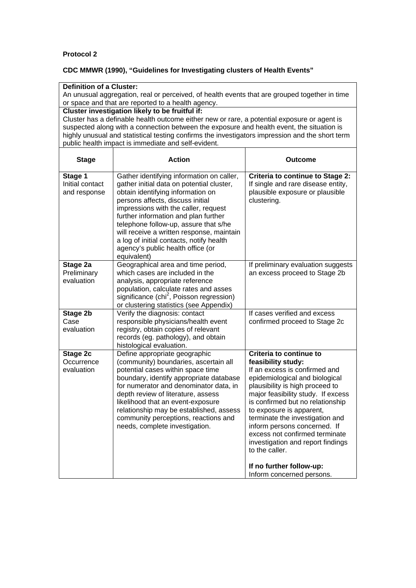# **CDC MMWR (1990), "Guidelines for Investigating clusters of Health Events"**

| <b>Definition of a Cluster:</b><br>An unusual aggregation, real or perceived, of health events that are grouped together in time<br>or space and that are reported to a health agency.                                                                                                                                                                                                                |                                                                                                                                                                                                                                                                                                                                                                                                                                       |                                                                                                                                                                                                                                                                                                                                                                                                                                                                                |
|-------------------------------------------------------------------------------------------------------------------------------------------------------------------------------------------------------------------------------------------------------------------------------------------------------------------------------------------------------------------------------------------------------|---------------------------------------------------------------------------------------------------------------------------------------------------------------------------------------------------------------------------------------------------------------------------------------------------------------------------------------------------------------------------------------------------------------------------------------|--------------------------------------------------------------------------------------------------------------------------------------------------------------------------------------------------------------------------------------------------------------------------------------------------------------------------------------------------------------------------------------------------------------------------------------------------------------------------------|
| Cluster investigation likely to be fruitful if:<br>Cluster has a definable health outcome either new or rare, a potential exposure or agent is<br>suspected along with a connection between the exposure and health event, the situation is<br>highly unusual and statistical testing confirms the investigators impression and the short term<br>public health impact is immediate and self-evident. |                                                                                                                                                                                                                                                                                                                                                                                                                                       |                                                                                                                                                                                                                                                                                                                                                                                                                                                                                |
| <b>Stage</b>                                                                                                                                                                                                                                                                                                                                                                                          | <b>Action</b>                                                                                                                                                                                                                                                                                                                                                                                                                         | <b>Outcome</b>                                                                                                                                                                                                                                                                                                                                                                                                                                                                 |
| Stage 1<br>Initial contact<br>and response                                                                                                                                                                                                                                                                                                                                                            | Gather identifying information on caller,<br>gather initial data on potential cluster,<br>obtain identifying information on<br>persons affects, discuss initial<br>impressions with the caller, request<br>further information and plan further<br>telephone follow-up, assure that s/he<br>will receive a written response, maintain<br>a log of initial contacts, notify health<br>agency's public health office (or<br>equivalent) | <b>Criteria to continue to Stage 2:</b><br>If single and rare disease entity,<br>plausible exposure or plausible<br>clustering.                                                                                                                                                                                                                                                                                                                                                |
| Stage 2a<br>Preliminary<br>evaluation                                                                                                                                                                                                                                                                                                                                                                 | Geographical area and time period,<br>which cases are included in the<br>analysis, appropriate reference<br>population, calculate rates and asses<br>significance (chi <sup>2</sup> , Poisson regression)<br>or clustering statistics (see Appendix)                                                                                                                                                                                  | If preliminary evaluation suggests<br>an excess proceed to Stage 2b                                                                                                                                                                                                                                                                                                                                                                                                            |
| Stage 2b<br>Case<br>evaluation                                                                                                                                                                                                                                                                                                                                                                        | Verify the diagnosis: contact<br>responsible physicians/health event<br>registry, obtain copies of relevant<br>records (eg. pathology), and obtain<br>histological evaluation.                                                                                                                                                                                                                                                        | If cases verified and excess<br>confirmed proceed to Stage 2c                                                                                                                                                                                                                                                                                                                                                                                                                  |
| Stage 2c<br>Occurrence<br>evaluation                                                                                                                                                                                                                                                                                                                                                                  | Define appropriate geographic<br>(community) boundaries, ascertain all<br>potential cases within space time<br>boundary, identify appropriate database<br>for numerator and denominator data, in<br>depth review of literature, assess<br>likelihood that an event-exposure<br>relationship may be established, assess<br>community perceptions, reactions and<br>needs, complete investigation.                                      | Criteria to continue to<br>feasibility study:<br>If an excess is confirmed and<br>epidemiological and biological<br>plausibility is high proceed to<br>major feasibility study. If excess<br>is confirmed but no relationship<br>to exposure is apparent,<br>terminate the investigation and<br>inform persons concerned. If<br>excess not confirmed terminate<br>investigation and report findings<br>to the caller.<br>If no further follow-up:<br>Inform concerned persons. |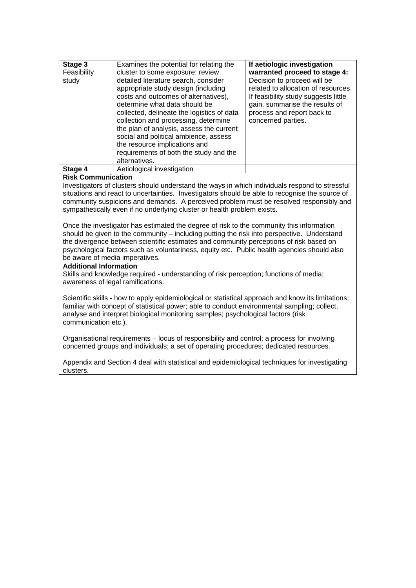| Stage 3<br>Feasibility<br>study | Examines the potential for relating the<br>cluster to some exposure: review<br>detailed literature search, consider<br>appropriate study design (including<br>costs and outcomes of alternatives),<br>determine what data should be<br>collected, delineate the logistics of data<br>collection and processing, determine<br>the plan of analysis, assess the current<br>social and political ambience, assess<br>the resource implications and<br>requirements of both the study and the<br>alternatives. | If aetiologic investigation<br>warranted proceed to stage 4:<br>Decision to proceed will be<br>related to allocation of resources.<br>If feasibility study suggests little<br>gain, summarise the results of<br>process and report back to<br>concerned parties. |
|---------------------------------|------------------------------------------------------------------------------------------------------------------------------------------------------------------------------------------------------------------------------------------------------------------------------------------------------------------------------------------------------------------------------------------------------------------------------------------------------------------------------------------------------------|------------------------------------------------------------------------------------------------------------------------------------------------------------------------------------------------------------------------------------------------------------------|
| Stage 4                         | Aetiological investigation                                                                                                                                                                                                                                                                                                                                                                                                                                                                                 |                                                                                                                                                                                                                                                                  |

#### **Risk Communication**

Investigators of clusters should understand the ways in which individuals respond to stressful situations and react to uncertainties. Investigators should be able to recognise the source of community suspicions and demands. A perceived problem must be resolved responsibly and sympathetically even if no underlying cluster or health problem exists.

Once the investigator has estimated the degree of risk to the community this information should be given to the community – including putting the risk into perspective. Understand the divergence between scientific estimates and community perceptions of risk based on psychological factors such as voluntariness, equity etc. Public health agencies should also be aware of media imperatives.

#### **Additional Information**

Skills and knowledge required - understanding of risk perception; functions of media; awareness of legal ramifications.

Scientific skills - how to apply epidemiological or statistical approach and know its limitations; familiar with concept of statistical power; able to conduct environmental sampling; collect, analyse and interpret biological monitoring samples; psychological factors (risk communication etc.).

Organisational requirements – locus of responsibility and control; a process for involving concerned groups and individuals; a set of operating procedures; dedicated resources.

Appendix and Section 4 deal with statistical and epidemiological techniques for investigating clusters.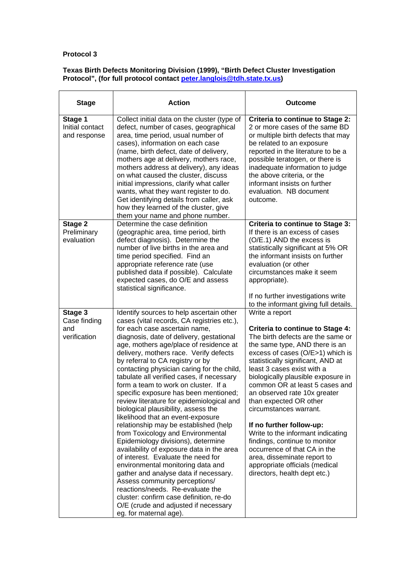#### **Texas Birth Defects Monitoring Division (1999), "Birth Defect Cluster Investigation Protocol", (for full protocol contact peter.langlois@tdh.state.tx.us)**

| <b>Stage</b>                                   | <b>Action</b>                                                                                                                                                                                                                                                                                                                                                                                                                                                                                                                                                                                                                                                                                                                                                                                                                                                                                                                                                                                                                                                           | Outcome                                                                                                                                                                                                                                                                                                                                                                                                                                                                                                                                                                                                                         |
|------------------------------------------------|-------------------------------------------------------------------------------------------------------------------------------------------------------------------------------------------------------------------------------------------------------------------------------------------------------------------------------------------------------------------------------------------------------------------------------------------------------------------------------------------------------------------------------------------------------------------------------------------------------------------------------------------------------------------------------------------------------------------------------------------------------------------------------------------------------------------------------------------------------------------------------------------------------------------------------------------------------------------------------------------------------------------------------------------------------------------------|---------------------------------------------------------------------------------------------------------------------------------------------------------------------------------------------------------------------------------------------------------------------------------------------------------------------------------------------------------------------------------------------------------------------------------------------------------------------------------------------------------------------------------------------------------------------------------------------------------------------------------|
| Stage 1<br>Initial contact<br>and response     | Collect initial data on the cluster (type of<br>defect, number of cases, geographical<br>area, time period, usual number of<br>cases), information on each case<br>(name, birth defect, date of delivery,<br>mothers age at delivery, mothers race,<br>mothers address at delivery), any ideas<br>on what caused the cluster, discuss<br>initial impressions, clarify what caller<br>wants, what they want register to do.<br>Get identifying details from caller, ask<br>how they learned of the cluster, give<br>them your name and phone number.                                                                                                                                                                                                                                                                                                                                                                                                                                                                                                                     | <b>Criteria to continue to Stage 2:</b><br>2 or more cases of the same BD<br>or multiple birth defects that may<br>be related to an exposure<br>reported in the literature to be a<br>possible teratogen, or there is<br>inadequate information to judge<br>the above criteria, or the<br>informant insists on further<br>evaluation. NB document<br>outcome.                                                                                                                                                                                                                                                                   |
| Stage 2<br>Preliminary<br>evaluation           | Determine the case definition<br>(geographic area, time period, birth<br>defect diagnosis). Determine the<br>number of live births in the area and<br>time period specified. Find an<br>appropriate reference rate (use<br>published data if possible). Calculate<br>expected cases, do O/E and assess<br>statistical significance.                                                                                                                                                                                                                                                                                                                                                                                                                                                                                                                                                                                                                                                                                                                                     | <b>Criteria to continue to Stage 3:</b><br>If there is an excess of cases<br>(O/E.1) AND the excess is<br>statistically significant at 5% OR<br>the informant insists on further<br>evaluation (or other<br>circumstances make it seem<br>appropriate).<br>If no further investigations write<br>to the informant giving full details.                                                                                                                                                                                                                                                                                          |
| Stage 3<br>Case finding<br>and<br>verification | Identify sources to help ascertain other<br>cases (vital records, CA registries etc.),<br>for each case ascertain name,<br>diagnosis, date of delivery, gestational<br>age, mothers age/place of residence at<br>delivery, mothers race. Verify defects<br>by referral to CA registry or by<br>contacting physician caring for the child,<br>tabulate all verified cases, if necessary<br>form a team to work on cluster. If a<br>specific exposure has been mentioned;<br>review literature for epidemiological and<br>biological plausibility, assess the<br>likelihood that an event-exposure<br>relationship may be established (help<br>from Toxicology and Environmental<br>Epidemiology divisions), determine<br>availability of exposure data in the area<br>of interest. Evaluate the need for<br>environmental monitoring data and<br>gather and analyse data if necessary.<br>Assess community perceptions/<br>reactions/needs. Re-evaluate the<br>cluster: confirm case definition, re-do<br>O/E (crude and adjusted if necessary<br>eg. for maternal age). | Write a report<br>Criteria to continue to Stage 4:<br>The birth defects are the same or<br>the same type, AND there is an<br>excess of cases (O/E>1) which is<br>statistically significant, AND at<br>least 3 cases exist with a<br>biologically plausible exposure in<br>common OR at least 5 cases and<br>an observed rate 10x greater<br>than expected OR other<br>circumstances warrant.<br>If no further follow-up:<br>Write to the informant indicating<br>findings, continue to monitor<br>occurrence of that CA in the<br>area, disseminate report to<br>appropriate officials (medical<br>directors, health dept etc.) |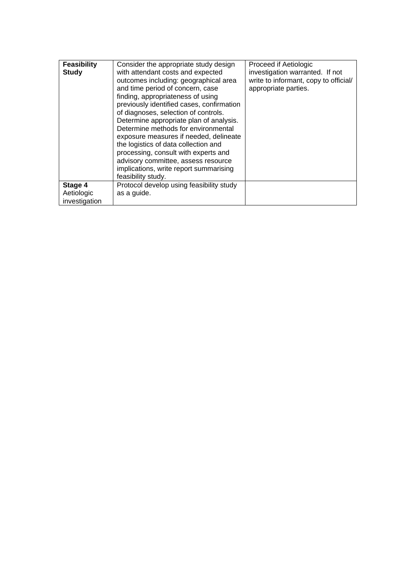| <b>Feasibility</b><br><b>Study</b>     | Consider the appropriate study design<br>with attendant costs and expected<br>outcomes including: geographical area<br>and time period of concern, case<br>finding, appropriateness of using<br>previously identified cases, confirmation<br>of diagnoses, selection of controls.<br>Determine appropriate plan of analysis.<br>Determine methods for environmental<br>exposure measures if needed, delineate<br>the logistics of data collection and<br>processing, consult with experts and<br>advisory committee, assess resource | Proceed if Aetiologic<br>investigation warranted. If not<br>write to informant, copy to official/<br>appropriate parties. |
|----------------------------------------|--------------------------------------------------------------------------------------------------------------------------------------------------------------------------------------------------------------------------------------------------------------------------------------------------------------------------------------------------------------------------------------------------------------------------------------------------------------------------------------------------------------------------------------|---------------------------------------------------------------------------------------------------------------------------|
|                                        | implications, write report summarising<br>feasibility study.                                                                                                                                                                                                                                                                                                                                                                                                                                                                         |                                                                                                                           |
| Stage 4<br>Aetiologic<br>investigation | Protocol develop using feasibility study<br>as a guide.                                                                                                                                                                                                                                                                                                                                                                                                                                                                              |                                                                                                                           |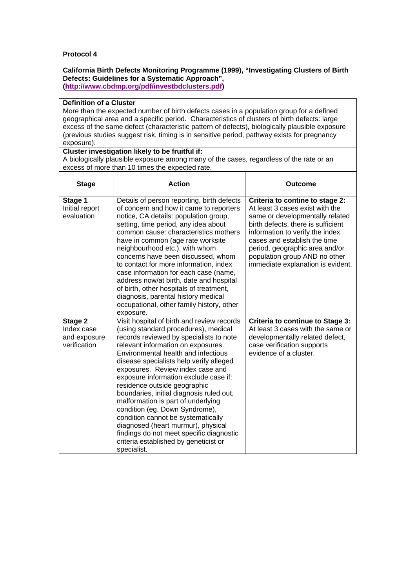#### **California Birth Defects Monitoring Programme (1999), "Investigating Clusters of Birth Defects: Guidelines for a Systematic Approach", (http://www.cbdmp.org/pdf/investbdclusters.pdf)**

#### **Definition of a Cluster**

More than the expected number of birth defects cases in a population group for a defined geographical area and a specific period. Characteristics of clusters of birth defects: large excess of the same defect (characteristic pattern of defects), biologically plausible exposure (previous studies suggest risk, timing is in sensitive period, pathway exists for pregnancy exposure).

#### **Cluster investigation likely to be fruitful if:**

A biologically plausible exposure among many of the cases, regardless of the rate or an excess of more than 10 times the expected rate.

| <b>Stage</b>                                          | <b>Action</b>                                                                                                                                                                                                                                                                                                                                                                                                                                                                                                                                                                                                                                                          | <b>Outcome</b>                                                                                                                                                                                                                                                                                                         |
|-------------------------------------------------------|------------------------------------------------------------------------------------------------------------------------------------------------------------------------------------------------------------------------------------------------------------------------------------------------------------------------------------------------------------------------------------------------------------------------------------------------------------------------------------------------------------------------------------------------------------------------------------------------------------------------------------------------------------------------|------------------------------------------------------------------------------------------------------------------------------------------------------------------------------------------------------------------------------------------------------------------------------------------------------------------------|
| Stage 1<br>Initial report<br>evaluation               | Details of person reporting, birth defects<br>of concern and how it came to reporters<br>notice, CA details: population group,<br>setting, time period, any idea about<br>common cause: characteristics mothers<br>have in common (age rate worksite<br>neighbourhood etc.), with whom<br>concerns have been discussed, whom<br>to contact for more information, index<br>case information for each case (name,<br>address now/at birth, date and hospital<br>of birth, other hospitals of treatment,<br>diagnosis, parental history medical<br>occupational, other family history, other<br>exposure.                                                                 | Criteria to contine to stage 2:<br>At least 3 cases exist with the<br>same or developmentally related<br>birth defects, there is sufficient<br>information to verify the index<br>cases and establish the time<br>period, geographic area and/or<br>population group AND no other<br>immediate explanation is evident. |
| Stage 2<br>Index case<br>and exposure<br>verification | Visit hospital of birth and review records<br>(using standard procedures), medical<br>records reviewed by specialists to note<br>relevant information on exposures.<br>Environmental health and infectious<br>disease specialists help verify alleged<br>exposures. Review index case and<br>exposure information exclude case if:<br>residence outside geographic<br>boundaries, initial diagnosis ruled out,<br>malformation is part of underlying<br>condition (eg. Down Syndrome),<br>condition cannot be systematically<br>diagnosed (heart murmur), physical<br>findings do not meet specific diagnostic<br>criteria established by geneticist or<br>specialist. | <b>Criteria to continue to Stage 3:</b><br>At least 3 cases with the same or<br>developmentally related defect,<br>case verification supports<br>evidence of a cluster.                                                                                                                                                |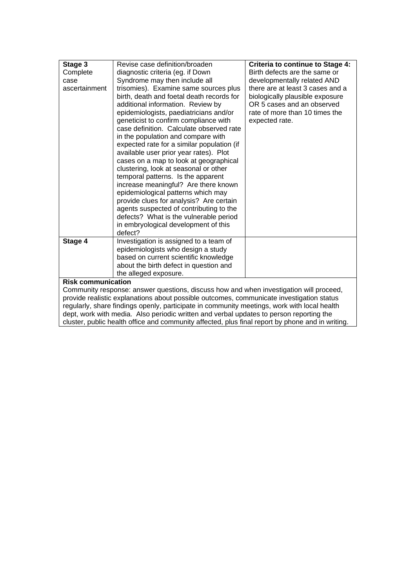| Stage 3                                                                                  | Revise case definition/broaden             | <b>Criteria to continue to Stage 4:</b> |
|------------------------------------------------------------------------------------------|--------------------------------------------|-----------------------------------------|
| Complete                                                                                 | diagnostic criteria (eg. if Down           | Birth defects are the same or           |
| case                                                                                     | Syndrome may then include all              | developmentally related AND             |
| ascertainment                                                                            | trisomies). Examine same sources plus      | there are at least 3 cases and a        |
|                                                                                          | birth, death and foetal death records for  | biologically plausible exposure         |
|                                                                                          | additional information. Review by          | OR 5 cases and an observed              |
|                                                                                          | epidemiologists, paediatricians and/or     | rate of more than 10 times the          |
|                                                                                          | geneticist to confirm compliance with      | expected rate.                          |
|                                                                                          | case definition. Calculate observed rate   |                                         |
|                                                                                          | in the population and compare with         |                                         |
|                                                                                          | expected rate for a similar population (if |                                         |
|                                                                                          | available user prior year rates). Plot     |                                         |
|                                                                                          | cases on a map to look at geographical     |                                         |
|                                                                                          | clustering, look at seasonal or other      |                                         |
|                                                                                          | temporal patterns. Is the apparent         |                                         |
|                                                                                          | increase meaningful? Are there known       |                                         |
|                                                                                          | epidemiological patterns which may         |                                         |
|                                                                                          | provide clues for analysis? Are certain    |                                         |
|                                                                                          | agents suspected of contributing to the    |                                         |
|                                                                                          | defects? What is the vulnerable period     |                                         |
|                                                                                          | in embryological development of this       |                                         |
|                                                                                          | defect?                                    |                                         |
| Stage 4                                                                                  | Investigation is assigned to a team of     |                                         |
|                                                                                          | epidemiologists who design a study         |                                         |
|                                                                                          | based on current scientific knowledge      |                                         |
|                                                                                          | about the birth defect in question and     |                                         |
|                                                                                          | the alleged exposure.                      |                                         |
| <b>Risk communication</b>                                                                |                                            |                                         |
| Community response: answer questions, discuss how and when investigation will proceed,   |                                            |                                         |
| provide realistic explanations about possible outcomes, communicate investigation status |                                            |                                         |

regularly, share findings openly, participate in community meetings, work with local health dept, work with media. Also periodic written and verbal updates to person reporting the cluster, public health office and community affected, plus final report by phone and in writing.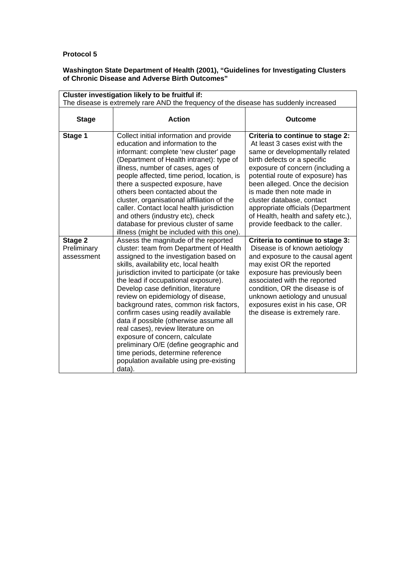#### **Washington State Department of Health (2001), "Guidelines for Investigating Clusters of Chronic Disease and Adverse Birth Outcomes"**

| Cluster investigation likely to be fruitful if:<br>The disease is extremely rare AND the frequency of the disease has suddenly increased |                                                                                                                                                                                                                                                                                                                                                                                                                                                                                                                                                                                                                                                                                 |                                                                                                                                                                                                                                                                                                                                                                                                                           |
|------------------------------------------------------------------------------------------------------------------------------------------|---------------------------------------------------------------------------------------------------------------------------------------------------------------------------------------------------------------------------------------------------------------------------------------------------------------------------------------------------------------------------------------------------------------------------------------------------------------------------------------------------------------------------------------------------------------------------------------------------------------------------------------------------------------------------------|---------------------------------------------------------------------------------------------------------------------------------------------------------------------------------------------------------------------------------------------------------------------------------------------------------------------------------------------------------------------------------------------------------------------------|
| <b>Stage</b>                                                                                                                             | <b>Action</b>                                                                                                                                                                                                                                                                                                                                                                                                                                                                                                                                                                                                                                                                   | <b>Outcome</b>                                                                                                                                                                                                                                                                                                                                                                                                            |
| Stage 1                                                                                                                                  | Collect initial information and provide<br>education and information to the<br>informant: complete 'new cluster' page<br>(Department of Health intranet): type of<br>illness, number of cases, ages of<br>people affected, time period, location, is<br>there a suspected exposure, have<br>others been contacted about the<br>cluster, organisational affiliation of the<br>caller. Contact local health jurisdiction<br>and others (industry etc), check<br>database for previous cluster of same<br>illness (might be included with this one).                                                                                                                               | Criteria to continue to stage 2:<br>At least 3 cases exist with the<br>same or developmentally related<br>birth defects or a specific<br>exposure of concern (including a<br>potential route of exposure) has<br>been alleged. Once the decision<br>is made then note made in<br>cluster database, contact<br>appropriate officials (Department<br>of Health, health and safety etc.),<br>provide feedback to the caller. |
| Stage 2<br>Preliminary<br>assessment                                                                                                     | Assess the magnitude of the reported<br>cluster: team from Department of Health<br>assigned to the investigation based on<br>skills, availability etc, local health<br>jurisdiction invited to participate (or take<br>the lead if occupational exposure).<br>Develop case definition, literature<br>review on epidemiology of disease,<br>background rates, common risk factors,<br>confirm cases using readily available<br>data if possible (otherwise assume all<br>real cases), review literature on<br>exposure of concern, calculate<br>preliminary O/E (define geographic and<br>time periods, determine reference<br>population available using pre-existing<br>data). | Criteria to continue to stage 3:<br>Disease is of known aetiology<br>and exposure to the causal agent<br>may exist OR the reported<br>exposure has previously been<br>associated with the reported<br>condition, OR the disease is of<br>unknown aetiology and unusual<br>exposures exist in his case, OR<br>the disease is extremely rare.                                                                               |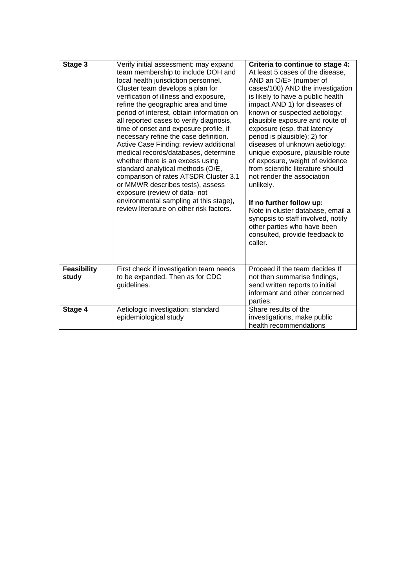| Stage 3                     | Verify initial assessment: may expand<br>team membership to include DOH and<br>local health jurisdiction personnel.<br>Cluster team develops a plan for<br>verification of illness and exposure,<br>refine the geographic area and time<br>period of interest, obtain information on<br>all reported cases to verify diagnosis,<br>time of onset and exposure profile, if<br>necessary refine the case definition.<br>Active Case Finding: review additional<br>medical records/databases, determine<br>whether there is an excess using<br>standard analytical methods (O/E,<br>comparison of rates ATSDR Cluster 3.1<br>or MMWR describes tests), assess<br>exposure (review of data- not<br>environmental sampling at this stage),<br>review literature on other risk factors. | Criteria to continue to stage 4:<br>At least 5 cases of the disease,<br>AND an O/E> (number of<br>cases/100) AND the investigation<br>is likely to have a public health<br>impact AND 1) for diseases of<br>known or suspected aetiology:<br>plausible exposure and route of<br>exposure (esp. that latency<br>period is plausible); 2) for<br>diseases of unknown aetiology:<br>unique exposure, plausible route<br>of exposure, weight of evidence<br>from scientific literature should<br>not render the association<br>unlikely.<br>If no further follow up:<br>Note in cluster database, email a<br>synopsis to staff involved, notify<br>other parties who have been<br>consulted, provide feedback to<br>caller. |
|-----------------------------|-----------------------------------------------------------------------------------------------------------------------------------------------------------------------------------------------------------------------------------------------------------------------------------------------------------------------------------------------------------------------------------------------------------------------------------------------------------------------------------------------------------------------------------------------------------------------------------------------------------------------------------------------------------------------------------------------------------------------------------------------------------------------------------|-------------------------------------------------------------------------------------------------------------------------------------------------------------------------------------------------------------------------------------------------------------------------------------------------------------------------------------------------------------------------------------------------------------------------------------------------------------------------------------------------------------------------------------------------------------------------------------------------------------------------------------------------------------------------------------------------------------------------|
| <b>Feasibility</b><br>study | First check if investigation team needs<br>to be expanded. Then as for CDC<br>guidelines.                                                                                                                                                                                                                                                                                                                                                                                                                                                                                                                                                                                                                                                                                         | Proceed if the team decides If<br>not then summarise findings,<br>send written reports to initial<br>informant and other concerned<br>parties.                                                                                                                                                                                                                                                                                                                                                                                                                                                                                                                                                                          |
| Stage 4                     | Aetiologic investigation: standard<br>epidemiological study                                                                                                                                                                                                                                                                                                                                                                                                                                                                                                                                                                                                                                                                                                                       | Share results of the<br>investigations, make public<br>health recommendations                                                                                                                                                                                                                                                                                                                                                                                                                                                                                                                                                                                                                                           |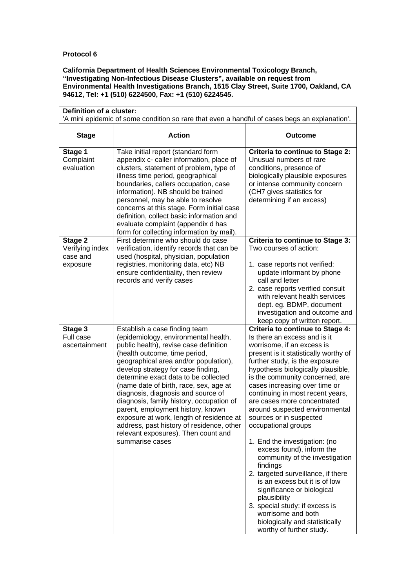#### **California Department of Health Sciences Environmental Toxicology Branch, "Investigating Non-Infectious Disease Clusters", available on request from Environmental Health Investigations Branch, 1515 Clay Street, Suite 1700, Oakland, CA 94612, Tel: +1 (510) 6224500, Fax: +1 (510) 6224545.**

| Definition of a cluster:<br>'A mini epidemic of some condition so rare that even a handful of cases begs an explanation'. |                                                                                                                                                                                                                                                                                                                                                                                                                                                                                                                                                                                             |                                                                                                                                                                                                                                                                                                                                                                                                                                                                                                                                                                                                                                                                                                                                                                                                          |
|---------------------------------------------------------------------------------------------------------------------------|---------------------------------------------------------------------------------------------------------------------------------------------------------------------------------------------------------------------------------------------------------------------------------------------------------------------------------------------------------------------------------------------------------------------------------------------------------------------------------------------------------------------------------------------------------------------------------------------|----------------------------------------------------------------------------------------------------------------------------------------------------------------------------------------------------------------------------------------------------------------------------------------------------------------------------------------------------------------------------------------------------------------------------------------------------------------------------------------------------------------------------------------------------------------------------------------------------------------------------------------------------------------------------------------------------------------------------------------------------------------------------------------------------------|
| <b>Stage</b>                                                                                                              | <b>Action</b>                                                                                                                                                                                                                                                                                                                                                                                                                                                                                                                                                                               | <b>Outcome</b>                                                                                                                                                                                                                                                                                                                                                                                                                                                                                                                                                                                                                                                                                                                                                                                           |
| Stage 1<br>Complaint<br>evaluation                                                                                        | Take initial report (standard form<br>appendix c- caller information, place of<br>clusters, statement of problem, type of<br>illness time period, geographical<br>boundaries, callers occupation, case<br>information). NB should be trained<br>personnel, may be able to resolve<br>concerns at this stage. Form initial case<br>definition, collect basic information and<br>evaluate complaint (appendix d has<br>form for collecting information by mail).                                                                                                                              | <b>Criteria to continue to Stage 2:</b><br>Unusual numbers of rare<br>conditions, presence of<br>biologically plausible exposures<br>or intense community concern<br>(CH7 gives statistics for<br>determining if an excess)                                                                                                                                                                                                                                                                                                                                                                                                                                                                                                                                                                              |
| Stage 2<br>Verifying index<br>case and<br>exposure                                                                        | First determine who should do case<br>verification, identify records that can be<br>used (hospital, physician, population<br>registries, monitoring data, etc) NB<br>ensure confidentiality, then review<br>records and verify cases                                                                                                                                                                                                                                                                                                                                                        | <b>Criteria to continue to Stage 3:</b><br>Two courses of action:<br>1. case reports not verified:<br>update informant by phone<br>call and letter<br>2. case reports verified consult<br>with relevant health services<br>dept. eg. BDMP, document<br>investigation and outcome and<br>keep copy of written report.                                                                                                                                                                                                                                                                                                                                                                                                                                                                                     |
| Stage 3<br>Full case<br>ascertainment                                                                                     | Establish a case finding team<br>(epidemiology, environmental health,<br>public health), revise case definition<br>(health outcome, time period,<br>geographical area and/or population),<br>develop strategy for case finding,<br>determine exact data to be collected<br>(name date of birth, race, sex, age at<br>diagnosis, diagnosis and source of<br>diagnosis, family history, occupation of<br>parent, employment history, known<br>exposure at work, length of residence at<br>address, past history of residence, other<br>relevant exposures). Then count and<br>summarise cases | <b>Criteria to continue to Stage 4:</b><br>Is there an excess and is it<br>worrisome, if an excess is<br>present is it statistically worthy of<br>further study, is the exposure<br>hypothesis biologically plausible,<br>is the community concerned, are<br>cases increasing over time or<br>continuing in most recent years,<br>are cases more concentrated<br>around suspected environmental<br>sources or in suspected<br>occupational groups<br>1. End the investigation: (no<br>excess found), inform the<br>community of the investigation<br>findings<br>2. targeted surveillance, if there<br>is an excess but it is of low<br>significance or biological<br>plausibility<br>3. special study: if excess is<br>worrisome and both<br>biologically and statistically<br>worthy of further study. |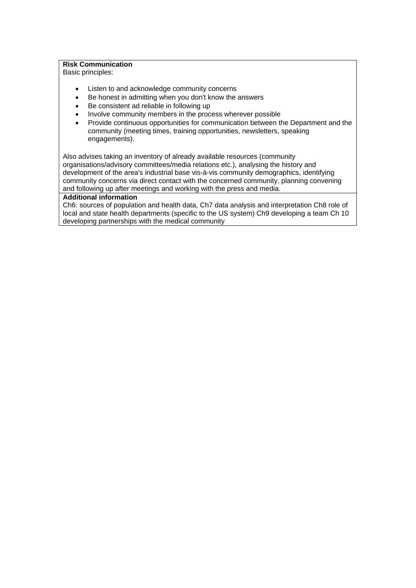#### **Risk Communication**

Basic principles:

- Listen to and acknowledge community concerns
- Be honest in admitting when you don't know the answers
- Be consistent ad reliable in following up
- Involve community members in the process wherever possible
- Provide continuous opportunities for communication between the Department and the community (meeting times, training opportunities, newsletters, speaking engagements).

Also advises taking an inventory of already available resources (community organisations/advisory committees/media relations etc.), analysing the history and development of the area's industrial base vis-à-vis community demographics, identifying community concerns via direct contact with the concerned community, planning convening and following up after meetings and working with the press and media.

## **Additional information**

Ch6: sources of population and health data, Ch7 data analysis and interpretation Ch8 role of local and state health departments (specific to the US system) Ch9 developing a team Ch 10 developing partnerships with the medical community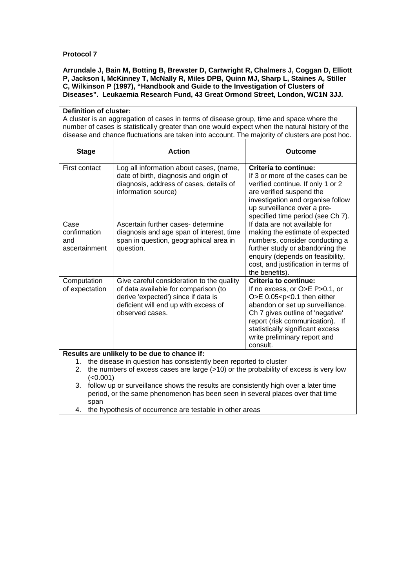**Arrundale J, Bain M, Botting B, Brewster D, Cartwright R, Chalmers J, Coggan D, Elliott P, Jackson I, McKinney T, McNally R, Miles DPB, Quinn MJ, Sharp L, Staines A, Stiller C, Wilkinson P (1997), "Handbook and Guide to the Investigation of Clusters of Diseases". Leukaemia Research Fund, 43 Great Ormond Street, London, WC1N 3JJ.** 

| Definition of cluster:                                                                                                  |                                                                                                |                                                                    |  |
|-------------------------------------------------------------------------------------------------------------------------|------------------------------------------------------------------------------------------------|--------------------------------------------------------------------|--|
|                                                                                                                         | A cluster is an aggregation of cases in terms of disease group, time and space where the       |                                                                    |  |
|                                                                                                                         | number of cases is statistically greater than one would expect when the natural history of the |                                                                    |  |
|                                                                                                                         | disease and chance fluctuations are taken into account. The majority of clusters are post hoc. |                                                                    |  |
| <b>Stage</b>                                                                                                            | <b>Action</b>                                                                                  | <b>Outcome</b>                                                     |  |
|                                                                                                                         |                                                                                                |                                                                    |  |
| First contact                                                                                                           | Log all information about cases, (name,                                                        | <b>Criteria to continue:</b>                                       |  |
|                                                                                                                         | date of birth, diagnosis and origin of                                                         | If 3 or more of the cases can be                                   |  |
|                                                                                                                         | diagnosis, address of cases, details of                                                        | verified continue. If only 1 or 2                                  |  |
|                                                                                                                         | information source)                                                                            | are verified suspend the                                           |  |
|                                                                                                                         |                                                                                                | investigation and organise follow                                  |  |
|                                                                                                                         |                                                                                                | up surveillance over a pre-                                        |  |
| Case                                                                                                                    | Ascertain further cases- determine                                                             | specified time period (see Ch 7).<br>If data are not available for |  |
| confirmation                                                                                                            | diagnosis and age span of interest, time                                                       | making the estimate of expected                                    |  |
| and                                                                                                                     | span in question, geographical area in                                                         | numbers, consider conducting a                                     |  |
| ascertainment                                                                                                           | question.                                                                                      | further study or abandoning the                                    |  |
|                                                                                                                         |                                                                                                | enquiry (depends on feasibility,                                   |  |
|                                                                                                                         |                                                                                                | cost, and justification in terms of                                |  |
|                                                                                                                         |                                                                                                | the benefits).                                                     |  |
| Computation                                                                                                             | Give careful consideration to the quality                                                      | <b>Criteria to continue:</b>                                       |  |
| of expectation                                                                                                          | of data available for comparison (to                                                           | If no excess, or O>E P>0.1, or                                     |  |
|                                                                                                                         | derive 'expected') since if data is                                                            | O>E $0.05 < p < 0.1$ then either                                   |  |
|                                                                                                                         | deficient will end up with excess of                                                           | abandon or set up surveillance.                                    |  |
|                                                                                                                         | observed cases.                                                                                | Ch 7 gives outline of 'negative'                                   |  |
|                                                                                                                         |                                                                                                | report (risk communication). If                                    |  |
|                                                                                                                         |                                                                                                | statistically significant excess                                   |  |
|                                                                                                                         |                                                                                                | write preliminary report and                                       |  |
|                                                                                                                         |                                                                                                | consult.                                                           |  |
| Results are unlikely to be due to chance if:<br>the disease in question has consistently been reported to cluster<br>1. |                                                                                                |                                                                    |  |
| the numbers of excess cases are large $(>10)$ or the probability of excess is very low<br>2.                            |                                                                                                |                                                                    |  |
| (<0.001)                                                                                                                |                                                                                                |                                                                    |  |
| follow up or surveillance shows the results are consistently high over a later time<br>3.                               |                                                                                                |                                                                    |  |

period, or the same phenomenon has been seen in several places over that time span

4. the hypothesis of occurrence are testable in other areas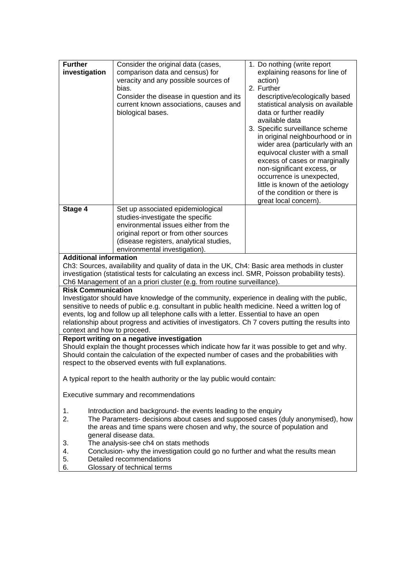| <b>Further</b><br>investigation                                                                                                                                                                                                                                                                                                                                                                                                                         | Consider the original data (cases,<br>comparison data and census) for<br>veracity and any possible sources of<br>bias.<br>Consider the disease in question and its<br>current known associations, causes and<br>biological bases. | 1. Do nothing (write report<br>explaining reasons for line of<br>action)<br>2. Further<br>descriptive/ecologically based<br>statistical analysis on available<br>data or further readily<br>available data<br>3. Specific surveillance scheme<br>in original neighbourhood or in<br>wider area (particularly with an<br>equivocal cluster with a small<br>excess of cases or marginally<br>non-significant excess, or<br>occurrence is unexpected,<br>little is known of the aetiology<br>of the condition or there is |
|---------------------------------------------------------------------------------------------------------------------------------------------------------------------------------------------------------------------------------------------------------------------------------------------------------------------------------------------------------------------------------------------------------------------------------------------------------|-----------------------------------------------------------------------------------------------------------------------------------------------------------------------------------------------------------------------------------|------------------------------------------------------------------------------------------------------------------------------------------------------------------------------------------------------------------------------------------------------------------------------------------------------------------------------------------------------------------------------------------------------------------------------------------------------------------------------------------------------------------------|
| Stage 4                                                                                                                                                                                                                                                                                                                                                                                                                                                 | Set up associated epidemiological                                                                                                                                                                                                 | great local concern).                                                                                                                                                                                                                                                                                                                                                                                                                                                                                                  |
|                                                                                                                                                                                                                                                                                                                                                                                                                                                         | studies-investigate the specific<br>environmental issues either from the                                                                                                                                                          |                                                                                                                                                                                                                                                                                                                                                                                                                                                                                                                        |
|                                                                                                                                                                                                                                                                                                                                                                                                                                                         | original report or from other sources<br>(disease registers, analytical studies,                                                                                                                                                  |                                                                                                                                                                                                                                                                                                                                                                                                                                                                                                                        |
|                                                                                                                                                                                                                                                                                                                                                                                                                                                         | environmental investigation).                                                                                                                                                                                                     |                                                                                                                                                                                                                                                                                                                                                                                                                                                                                                                        |
| <b>Additional information</b>                                                                                                                                                                                                                                                                                                                                                                                                                           | Ch3: Sources, availability and quality of data in the UK, Ch4: Basic area methods in cluster                                                                                                                                      |                                                                                                                                                                                                                                                                                                                                                                                                                                                                                                                        |
|                                                                                                                                                                                                                                                                                                                                                                                                                                                         | investigation (statistical tests for calculating an excess incl. SMR, Poisson probability tests).                                                                                                                                 |                                                                                                                                                                                                                                                                                                                                                                                                                                                                                                                        |
|                                                                                                                                                                                                                                                                                                                                                                                                                                                         | Ch6 Management of an a priori cluster (e.g. from routine surveillance).                                                                                                                                                           |                                                                                                                                                                                                                                                                                                                                                                                                                                                                                                                        |
| <b>Risk Communication</b><br>Investigator should have knowledge of the community, experience in dealing with the public,<br>sensitive to needs of public e.g. consultant in public health medicine. Need a written log of<br>events, log and follow up all telephone calls with a letter. Essential to have an open<br>relationship about progress and activities of investigators. Ch 7 covers putting the results into<br>context and how to proceed. |                                                                                                                                                                                                                                   |                                                                                                                                                                                                                                                                                                                                                                                                                                                                                                                        |
| Report writing on a negative investigation<br>Should explain the thought processes which indicate how far it was possible to get and why.<br>Should contain the calculation of the expected number of cases and the probabilities with<br>respect to the observed events with full explanations.                                                                                                                                                        |                                                                                                                                                                                                                                   |                                                                                                                                                                                                                                                                                                                                                                                                                                                                                                                        |
| A typical report to the health authority or the lay public would contain:                                                                                                                                                                                                                                                                                                                                                                               |                                                                                                                                                                                                                                   |                                                                                                                                                                                                                                                                                                                                                                                                                                                                                                                        |
| Executive summary and recommendations                                                                                                                                                                                                                                                                                                                                                                                                                   |                                                                                                                                                                                                                                   |                                                                                                                                                                                                                                                                                                                                                                                                                                                                                                                        |
| Introduction and background- the events leading to the enquiry<br>1.<br>The Parameters- decisions about cases and supposed cases (duly anonymised), how<br>2.<br>the areas and time spans were chosen and why, the source of population and<br>general disease data.                                                                                                                                                                                    |                                                                                                                                                                                                                                   |                                                                                                                                                                                                                                                                                                                                                                                                                                                                                                                        |
| The analysis-see ch4 on stats methods<br>3.<br>Conclusion- why the investigation could go no further and what the results mean<br>4.<br>Detailed recommendations<br>5.<br>Glossary of technical terms<br>6.                                                                                                                                                                                                                                             |                                                                                                                                                                                                                                   |                                                                                                                                                                                                                                                                                                                                                                                                                                                                                                                        |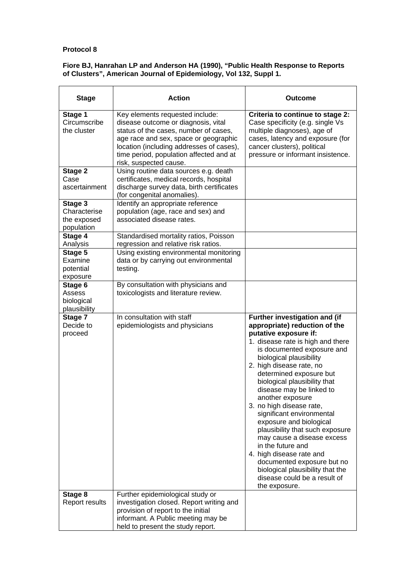#### **Fiore BJ, Hanrahan LP and Anderson HA (1990), "Public Health Response to Reports of Clusters", American Journal of Epidemiology, Vol 132, Suppl 1.**

| <b>Stage</b>                                         | <b>Action</b>                                                                                                                                                                                                                                                             | Outcome                                                                                                                                                                                                                                                                                                                                                                                                                                                                                                                                                                                                                                               |
|------------------------------------------------------|---------------------------------------------------------------------------------------------------------------------------------------------------------------------------------------------------------------------------------------------------------------------------|-------------------------------------------------------------------------------------------------------------------------------------------------------------------------------------------------------------------------------------------------------------------------------------------------------------------------------------------------------------------------------------------------------------------------------------------------------------------------------------------------------------------------------------------------------------------------------------------------------------------------------------------------------|
| Stage 1<br>Circumscribe<br>the cluster               | Key elements requested include:<br>disease outcome or diagnosis, vital<br>status of the cases, number of cases,<br>age race and sex, space or geographic<br>location (including addresses of cases),<br>time period, population affected and at<br>risk, suspected cause. | Criteria to continue to stage 2:<br>Case specificity (e.g. single Vs<br>multiple diagnoses), age of<br>cases, latency and exposure (for<br>cancer clusters), political<br>pressure or informant insistence.                                                                                                                                                                                                                                                                                                                                                                                                                                           |
| Stage 2<br>Case<br>ascertainment                     | Using routine data sources e.g. death<br>certificates, medical records, hospital<br>discharge survey data, birth certificates<br>(for congenital anomalies).                                                                                                              |                                                                                                                                                                                                                                                                                                                                                                                                                                                                                                                                                                                                                                                       |
| Stage 3<br>Characterise<br>the exposed<br>population | Identify an appropriate reference<br>population (age, race and sex) and<br>associated disease rates.                                                                                                                                                                      |                                                                                                                                                                                                                                                                                                                                                                                                                                                                                                                                                                                                                                                       |
| Stage 4<br>Analysis                                  | Standardised mortality ratios, Poisson<br>regression and relative risk ratios.                                                                                                                                                                                            |                                                                                                                                                                                                                                                                                                                                                                                                                                                                                                                                                                                                                                                       |
| Stage 5<br>Examine<br>potential<br>exposure          | Using existing environmental monitoring<br>data or by carrying out environmental<br>testing.                                                                                                                                                                              |                                                                                                                                                                                                                                                                                                                                                                                                                                                                                                                                                                                                                                                       |
| Stage 6<br>Assess<br>biological<br>plausibility      | By consultation with physicians and<br>toxicologists and literature review.                                                                                                                                                                                               |                                                                                                                                                                                                                                                                                                                                                                                                                                                                                                                                                                                                                                                       |
| Stage 7<br>Decide to<br>proceed                      | In consultation with staff<br>epidemiologists and physicians                                                                                                                                                                                                              | Further investigation and (if<br>appropriate) reduction of the<br>putative exposure if:<br>1. disease rate is high and there<br>is documented exposure and<br>biological plausibility<br>2. high disease rate, no<br>determined exposure but<br>biological plausibility that<br>disease may be linked to<br>another exposure<br>3. no high disease rate,<br>significant environmental<br>exposure and biological<br>plausibility that such exposure<br>may cause a disease excess<br>in the future and<br>4. high disease rate and<br>documented exposure but no<br>biological plausibility that the<br>disease could be a result of<br>the exposure. |
| Stage 8<br>Report results                            | Further epidemiological study or<br>investigation closed. Report writing and<br>provision of report to the initial<br>informant. A Public meeting may be<br>held to present the study report.                                                                             |                                                                                                                                                                                                                                                                                                                                                                                                                                                                                                                                                                                                                                                       |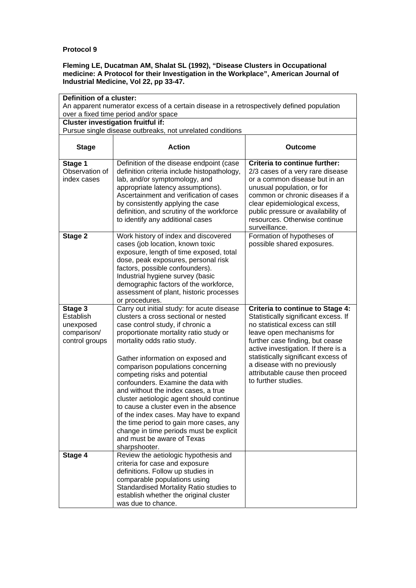#### **Fleming LE, Ducatman AM, Shalat SL (1992), "Disease Clusters in Occupational medicine: A Protocol for their Investigation in the Workplace", American Journal of Industrial Medicine, Vol 22, pp 33-47.**

|                                                                                           | Definition of a cluster:                                                                                                                                                                                                                                                                                                                                                                                                                                                                                                                                                                                                                                     |                                                                                                                                                                                                                                                                                                                                                            |  |
|-------------------------------------------------------------------------------------------|--------------------------------------------------------------------------------------------------------------------------------------------------------------------------------------------------------------------------------------------------------------------------------------------------------------------------------------------------------------------------------------------------------------------------------------------------------------------------------------------------------------------------------------------------------------------------------------------------------------------------------------------------------------|------------------------------------------------------------------------------------------------------------------------------------------------------------------------------------------------------------------------------------------------------------------------------------------------------------------------------------------------------------|--|
| An apparent numerator excess of a certain disease in a retrospectively defined population |                                                                                                                                                                                                                                                                                                                                                                                                                                                                                                                                                                                                                                                              |                                                                                                                                                                                                                                                                                                                                                            |  |
| over a fixed time period and/or space<br><b>Cluster investigation fruitful if:</b>        |                                                                                                                                                                                                                                                                                                                                                                                                                                                                                                                                                                                                                                                              |                                                                                                                                                                                                                                                                                                                                                            |  |
|                                                                                           | Pursue single disease outbreaks, not unrelated conditions                                                                                                                                                                                                                                                                                                                                                                                                                                                                                                                                                                                                    |                                                                                                                                                                                                                                                                                                                                                            |  |
|                                                                                           |                                                                                                                                                                                                                                                                                                                                                                                                                                                                                                                                                                                                                                                              |                                                                                                                                                                                                                                                                                                                                                            |  |
| <b>Stage</b>                                                                              | <b>Action</b>                                                                                                                                                                                                                                                                                                                                                                                                                                                                                                                                                                                                                                                | <b>Outcome</b>                                                                                                                                                                                                                                                                                                                                             |  |
| Stage 1<br>Observation of<br>index cases                                                  | Definition of the disease endpoint (case<br>definition criteria include histopathology,<br>lab, and/or symptomology, and<br>appropriate latency assumptions).<br>Ascertainment and verification of cases<br>by consistently applying the case<br>definition, and scrutiny of the workforce<br>to identify any additional cases                                                                                                                                                                                                                                                                                                                               | Criteria to continue further:<br>2/3 cases of a very rare disease<br>or a common disease but in an<br>unusual population, or for<br>common or chronic diseases if a<br>clear epidemiological excess,<br>public pressure or availability of<br>resources. Otherwise continue<br>surveillance.                                                               |  |
| Stage 2                                                                                   | Work history of index and discovered<br>cases (job location, known toxic<br>exposure, length of time exposed, total<br>dose, peak exposures, personal risk<br>factors, possible confounders).<br>Industrial hygiene survey (basic<br>demographic factors of the workforce,<br>assessment of plant, historic processes<br>or procedures.                                                                                                                                                                                                                                                                                                                      | Formation of hypotheses of<br>possible shared exposures.                                                                                                                                                                                                                                                                                                   |  |
| Stage 3<br>Establish<br>unexposed<br>comparison/<br>control groups                        | Carry out initial study: for acute disease<br>clusters a cross sectional or nested<br>case control study, if chronic a<br>proportionate mortality ratio study or<br>mortality odds ratio study.<br>Gather information on exposed and<br>comparison populations concerning<br>competing risks and potential<br>confounders. Examine the data with<br>and without the index cases, a true<br>cluster aetiologic agent should continue<br>to cause a cluster even in the absence<br>of the index cases. May have to expand<br>the time period to gain more cases, any<br>change in time periods must be explicit<br>and must be aware of Texas<br>sharpshooter. | <b>Criteria to continue to Stage 4:</b><br>Statistically significant excess. If<br>no statistical excess can still<br>leave open mechanisms for<br>further case finding, but cease<br>active investigation. If there is a<br>statistically significant excess of<br>a disease with no previously<br>attributable cause then proceed<br>to further studies. |  |
| Stage 4                                                                                   | Review the aetiologic hypothesis and<br>criteria for case and exposure<br>definitions. Follow up studies in<br>comparable populations using<br>Standardised Mortality Ratio studies to<br>establish whether the original cluster<br>was due to chance.                                                                                                                                                                                                                                                                                                                                                                                                       |                                                                                                                                                                                                                                                                                                                                                            |  |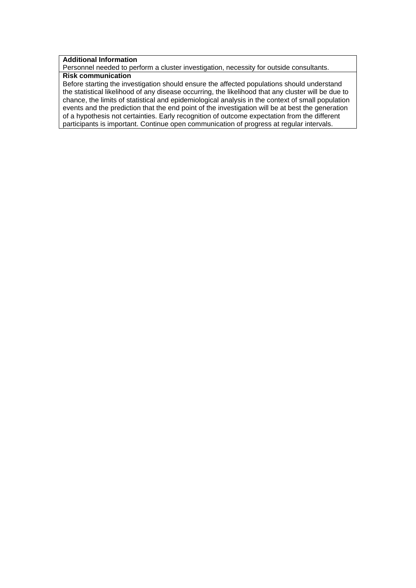## **Additional Information**

Personnel needed to perform a cluster investigation, necessity for outside consultants.

# **Risk communication**

Before starting the investigation should ensure the affected populations should understand the statistical likelihood of any disease occurring, the likelihood that any cluster will be due to chance, the limits of statistical and epidemiological analysis in the context of small population events and the prediction that the end point of the investigation will be at best the generation of a hypothesis not certainties. Early recognition of outcome expectation from the different participants is important. Continue open communication of progress at regular intervals.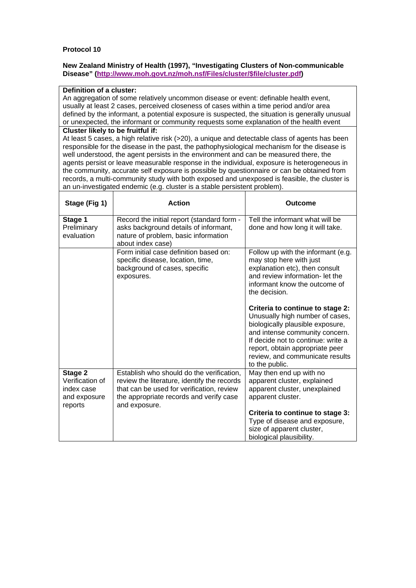#### **New Zealand Ministry of Health (1997), "Investigating Clusters of Non-communicable Disease" (http://www.moh.govt.nz/moh.nsf/Files/cluster/\$file/cluster.pdf)**

#### **Definition of a cluster:**

An aggregation of some relatively uncommon disease or event: definable health event, usually at least 2 cases, perceived closeness of cases within a time period and/or area defined by the informant, a potential exposure is suspected, the situation is generally unusual or unexpected, the informant or community requests some explanation of the health event

#### **Cluster likely to be fruitful if:**

At least 5 cases, a high relative risk (>20), a unique and detectable class of agents has been responsible for the disease in the past, the pathophysiological mechanism for the disease is well understood, the agent persists in the environment and can be measured there, the agents persist or leave measurable response in the individual, exposure is heterogeneous in the community, accurate self exposure is possible by questionnaire or can be obtained from records, a multi-community study with both exposed and unexposed is feasible, the cluster is an un-investigated endemic (e.g. cluster is a stable persistent problem).

| Stage (Fig 1)                                                       | <b>Action</b>                                                                                                                                                                                     | <b>Outcome</b>                                                                                                                                                                                                                                                                                                                                                          |
|---------------------------------------------------------------------|---------------------------------------------------------------------------------------------------------------------------------------------------------------------------------------------------|-------------------------------------------------------------------------------------------------------------------------------------------------------------------------------------------------------------------------------------------------------------------------------------------------------------------------------------------------------------------------|
| Stage 1<br>Preliminary<br>evaluation                                | Record the initial report (standard form -<br>asks background details of informant,<br>nature of problem, basic information<br>about index case)                                                  | Tell the informant what will be<br>done and how long it will take.                                                                                                                                                                                                                                                                                                      |
|                                                                     | Form initial case definition based on:<br>specific disease, location, time,<br>background of cases, specific<br>exposures.                                                                        | Follow up with the informant (e.g.<br>may stop here with just<br>explanation etc), then consult<br>and review information- let the<br>informant know the outcome of<br>the decision.<br>Criteria to continue to stage 2:<br>Unusually high number of cases,<br>biologically plausible exposure,<br>and intense community concern.<br>If decide not to continue: write a |
|                                                                     |                                                                                                                                                                                                   | report, obtain appropriate peer<br>review, and communicate results<br>to the public.                                                                                                                                                                                                                                                                                    |
| Stage 2<br>Verification of<br>index case<br>and exposure<br>reports | Establish who should do the verification,<br>review the literature, identify the records<br>that can be used for verification, review<br>the appropriate records and verify case<br>and exposure. | May then end up with no<br>apparent cluster, explained<br>apparent cluster, unexplained<br>apparent cluster.                                                                                                                                                                                                                                                            |
|                                                                     |                                                                                                                                                                                                   | Criteria to continue to stage 3:<br>Type of disease and exposure,<br>size of apparent cluster,<br>biological plausibility.                                                                                                                                                                                                                                              |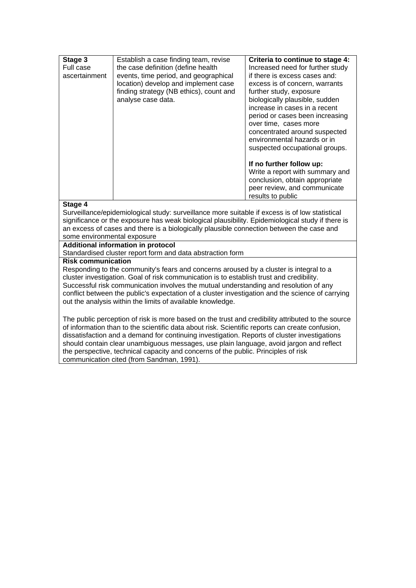| Stage 3<br>Full case<br>ascertainment | Establish a case finding team, revise<br>the case definition (define health<br>events, time period, and geographical<br>location) develop and implement case<br>finding strategy (NB ethics), count and<br>analyse case data. | Criteria to continue to stage 4:<br>Increased need for further study<br>if there is excess cases and:<br>excess is of concern, warrants<br>further study, exposure<br>biologically plausible, sudden<br>increase in cases in a recent<br>period or cases been increasing<br>over time, cases more<br>concentrated around suspected<br>environmental hazards or in<br>suspected occupational groups. |
|---------------------------------------|-------------------------------------------------------------------------------------------------------------------------------------------------------------------------------------------------------------------------------|-----------------------------------------------------------------------------------------------------------------------------------------------------------------------------------------------------------------------------------------------------------------------------------------------------------------------------------------------------------------------------------------------------|
|                                       |                                                                                                                                                                                                                               | If no further follow up:<br>Write a report with summary and<br>conclusion, obtain appropriate<br>peer review, and communicate<br>results to public                                                                                                                                                                                                                                                  |

#### **Stage 4**

Surveillance/epidemiological study: surveillance more suitable if excess is of low statistical significance or the exposure has weak biological plausibility. Epidemiological study if there is an excess of cases and there is a biologically plausible connection between the case and some environmental exposure

### **Additional information in protocol**

Standardised cluster report form and data abstraction form

#### **Risk communication**

Responding to the community's fears and concerns aroused by a cluster is integral to a cluster investigation. Goal of risk communication is to establish trust and credibility. Successful risk communication involves the mutual understanding and resolution of any conflict between the public's expectation of a cluster investigation and the science of carrying out the analysis within the limits of available knowledge.

The public perception of risk is more based on the trust and credibility attributed to the source of information than to the scientific data about risk. Scientific reports can create confusion, dissatisfaction and a demand for continuing investigation. Reports of cluster investigations should contain clear unambiguous messages, use plain language, avoid jargon and reflect the perspective, technical capacity and concerns of the public. Principles of risk communication cited (from Sandman, 1991).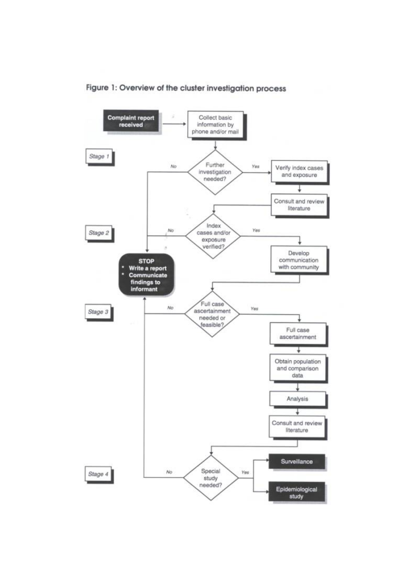

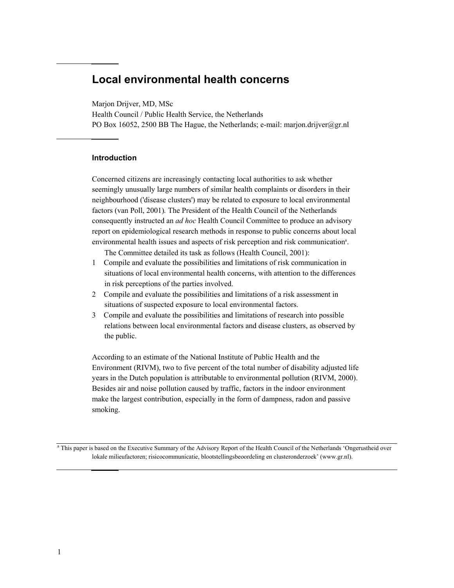# **Local environmental health concerns**

Marjon Drijver, MD, MSc

Health Council / Public Health Service, the Netherlands PO Box 16052, 2500 BB The Hague, the Netherlands; e-mail: marjon.drijver@gr.nl

#### **Introduction**

Concerned citizens are increasingly contacting local authorities to ask whether seemingly unusually large numbers of similar health complaints or disorders in their neighbourhood ('disease clusters') may be related to exposure to local environmental factors (van Poll, 2001)*.* The President of the Health Council of the Netherlands consequently instructed an *ad hoc* Health Council Committee to produce an advisory report on epidemiological research methods in response to public concerns about local environmental health issues and aspects of risk perception and risk communication<sup>a</sup>.

The Committee detailed its task as follows (Health Council, 2001):

- 1 Compile and evaluate the possibilities and limitations of risk communication in situations of local environmental health concerns, with attention to the differences in risk perceptions of the parties involved.
- 2 Compile and evaluate the possibilities and limitations of a risk assessment in situations of suspected exposure to local environmental factors.
- 3 Compile and evaluate the possibilities and limitations of research into possible relations between local environmental factors and disease clusters, as observed by the public.

According to an estimate of the National Institute of Public Health and the Environment (RIVM), two to five percent of the total number of disability adjusted life years in the Dutch population is attributable to environmental pollution (RIVM, 2000). Besides air and noise pollution caused by traffic, factors in the indoor environment make the largest contribution, especially in the form of dampness, radon and passive smoking.

<sup>a</sup> This paper is based on the Executive Summary of the Advisory Report of the Health Council of the Netherlands 'Ongerustheid over lokale milieufactoren; risicocommunicatie, blootstellingsbeoordeling en clusteronderzoek' (www.gr.nl).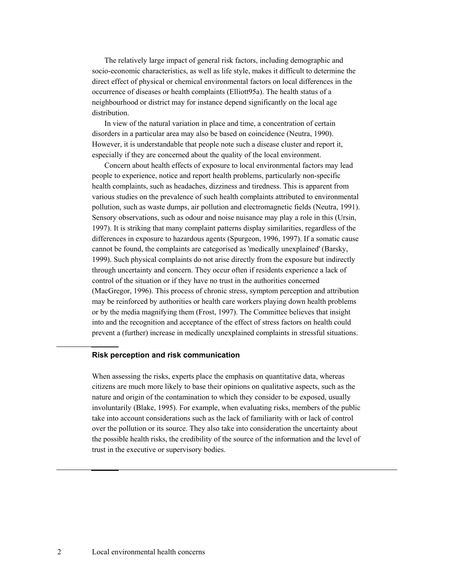The relatively large impact of general risk factors, including demographic and socio-economic characteristics, as well as life style, makes it difficult to determine the direct effect of physical or chemical environmental factors on local differences in the occurrence of diseases or health complaints (Elliott95a). The health status of a neighbourhood or district may for instance depend significantly on the local age distribution.

In view of the natural variation in place and time, a concentration of certain disorders in a particular area may also be based on coincidence (Neutra, 1990). However, it is understandable that people note such a disease cluster and report it, especially if they are concerned about the quality of the local environment.

Concern about health effects of exposure to local environmental factors may lead people to experience, notice and report health problems, particularly non-specific health complaints, such as headaches, dizziness and tiredness. This is apparent from various studies on the prevalence of such health complaints attributed to environmental pollution, such as waste dumps, air pollution and electromagnetic fields (Neutra, 1991). Sensory observations, such as odour and noise nuisance may play a role in this (Ursin, 1997). It is striking that many complaint patterns display similarities, regardless of the differences in exposure to hazardous agents (Spurgeon, 1996, 1997). If a somatic cause cannot be found, the complaints are categorised as 'medically unexplained' (Barsky, 1999). Such physical complaints do not arise directly from the exposure but indirectly through uncertainty and concern. They occur often if residents experience a lack of control of the situation or if they have no trust in the authorities concerned (MacGregor, 1996). This process of chronic stress, symptom perception and attribution may be reinforced by authorities or health care workers playing down health problems or by the media magnifying them (Frost, 1997). The Committee believes that insight into and the recognition and acceptance of the effect of stress factors on health could prevent a (further) increase in medically unexplained complaints in stressful situations.

#### **Risk perception and risk communication**

When assessing the risks, experts place the emphasis on quantitative data, whereas citizens are much more likely to base their opinions on qualitative aspects, such as the nature and origin of the contamination to which they consider to be exposed, usually involuntarily (Blake, 1995). For example, when evaluating risks, members of the public take into account considerations such as the lack of familiarity with or lack of control over the pollution or its source. They also take into consideration the uncertainty about the possible health risks, the credibility of the source of the information and the level of trust in the executive or supervisory bodies.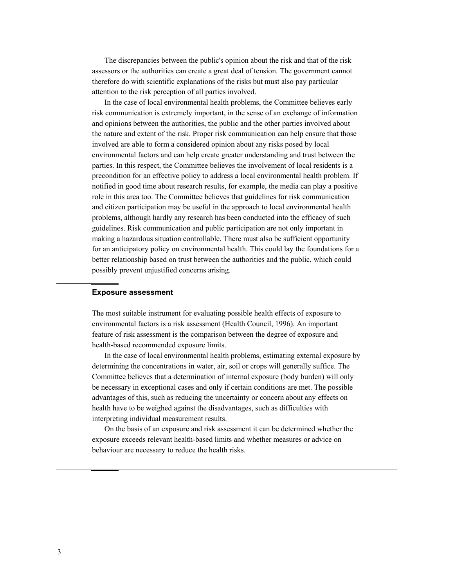The discrepancies between the public's opinion about the risk and that of the risk assessors or the authorities can create a great deal of tension. The government cannot therefore do with scientific explanations of the risks but must also pay particular attention to the risk perception of all parties involved.

In the case of local environmental health problems, the Committee believes early risk communication is extremely important, in the sense of an exchange of information and opinions between the authorities, the public and the other parties involved about the nature and extent of the risk. Proper risk communication can help ensure that those involved are able to form a considered opinion about any risks posed by local environmental factors and can help create greater understanding and trust between the parties. In this respect, the Committee believes the involvement of local residents is a precondition for an effective policy to address a local environmental health problem. If notified in good time about research results, for example, the media can play a positive role in this area too. The Committee believes that guidelines for risk communication and citizen participation may be useful in the approach to local environmental health problems, although hardly any research has been conducted into the efficacy of such guidelines. Risk communication and public participation are not only important in making a hazardous situation controllable. There must also be sufficient opportunity for an anticipatory policy on environmental health. This could lay the foundations for a better relationship based on trust between the authorities and the public, which could possibly prevent unjustified concerns arising.

#### **Exposure assessment**

The most suitable instrument for evaluating possible health effects of exposure to environmental factors is a risk assessment (Health Council, 1996). An important feature of risk assessment is the comparison between the degree of exposure and health-based recommended exposure limits.

In the case of local environmental health problems, estimating external exposure by determining the concentrations in water, air, soil or crops will generally suffice. The Committee believes that a determination of internal exposure (body burden) will only be necessary in exceptional cases and only if certain conditions are met. The possible advantages of this, such as reducing the uncertainty or concern about any effects on health have to be weighed against the disadvantages, such as difficulties with interpreting individual measurement results.

On the basis of an exposure and risk assessment it can be determined whether the exposure exceeds relevant health-based limits and whether measures or advice on behaviour are necessary to reduce the health risks.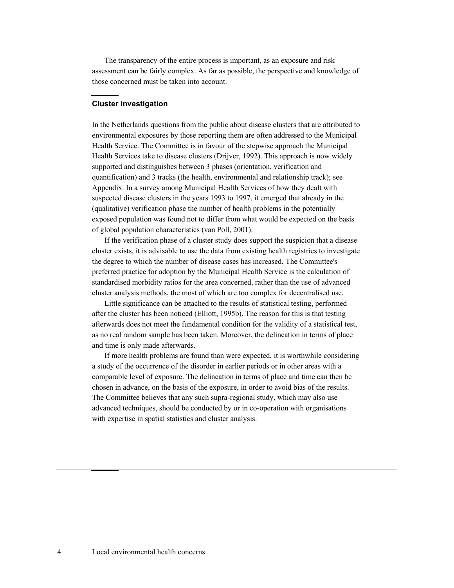The transparency of the entire process is important, as an exposure and risk assessment can be fairly complex. As far as possible, the perspective and knowledge of those concerned must be taken into account.

#### **Cluster investigation**

In the Netherlands questions from the public about disease clusters that are attributed to environmental exposures by those reporting them are often addressed to the Municipal Health Service. The Committee is in favour of the stepwise approach the Municipal Health Services take to disease clusters (Drijver, 1992). This approach is now widely supported and distinguishes between 3 phases (orientation, verification and quantification) and 3 tracks (the health, environmental and relationship track); see Appendix. In a survey among Municipal Health Services of how they dealt with suspected disease clusters in the years 1993 to 1997, it emerged that already in the (qualitative) verification phase the number of health problems in the potentially exposed population was found not to differ from what would be expected on the basis of global population characteristics (van Poll, 2001).

If the verification phase of a cluster study does support the suspicion that a disease cluster exists, it is advisable to use the data from existing health registries to investigate the degree to which the number of disease cases has increased. The Committee's preferred practice for adoption by the Municipal Health Service is the calculation of standardised morbidity ratios for the area concerned, rather than the use of advanced cluster analysis methods, the most of which are too complex for decentralised use.

Little significance can be attached to the results of statistical testing, performed after the cluster has been noticed (Elliott, 1995b). The reason for this is that testing afterwards does not meet the fundamental condition for the validity of a statistical test, as no real random sample has been taken. Moreover, the delineation in terms of place and time is only made afterwards.

If more health problems are found than were expected, it is worthwhile considering a study of the occurrence of the disorder in earlier periods or in other areas with a comparable level of exposure. The delineation in terms of place and time can then be chosen in advance, on the basis of the exposure, in order to avoid bias of the results. The Committee believes that any such supra-regional study, which may also use advanced techniques, should be conducted by or in co-operation with organisations with expertise in spatial statistics and cluster analysis.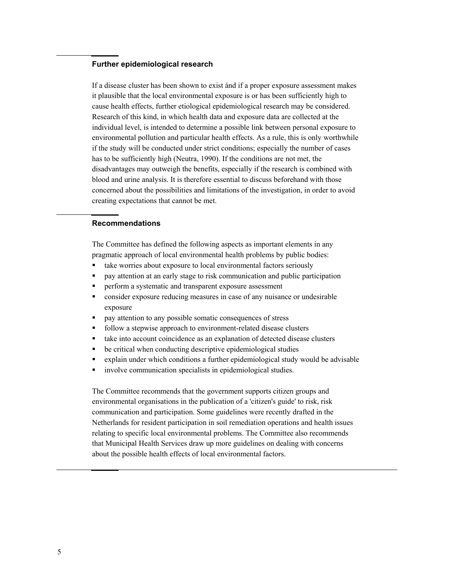#### **Further epidemiological research**

If a disease cluster has been shown to exist ánd if a proper exposure assessment makes it plausible that the local environmental exposure is or has been sufficiently high to cause health effects, further etiological epidemiological research may be considered. Research of this kind, in which health data and exposure data are collected at the individual level, is intended to determine a possible link between personal exposure to environmental pollution and particular health effects. As a rule, this is only worthwhile if the study will be conducted under strict conditions; especially the number of cases has to be sufficiently high (Neutra, 1990). If the conditions are not met, the disadvantages may outweigh the benefits, especially if the research is combined with blood and urine analysis. It is therefore essential to discuss beforehand with those concerned about the possibilities and limitations of the investigation, in order to avoid creating expectations that cannot be met.

#### **Recommendations**

The Committee has defined the following aspects as important elements in any pragmatic approach of local environmental health problems by public bodies:

- take worries about exposure to local environmental factors seriously
- pay attention at an early stage to risk communication and public participation
- **PERFORM A** systematic and transparent exposure assessment
- consider exposure reducing measures in case of any nuisance or undesirable exposure
- **pay attention to any possible somatic consequences of stress**
- follow a stepwise approach to environment-related disease clusters
- take into account coincidence as an explanation of detected disease clusters
- be critical when conducting descriptive epidemiological studies
- explain under which conditions a further epidemiological study would be advisable
- involve communication specialists in epidemiological studies.

The Committee recommends that the government supports citizen groups and environmental organisations in the publication of a 'citizen's guide' to risk, risk communication and participation. Some guidelines were recently drafted in the Netherlands for resident participation in soil remediation operations and health issues relating to specific local environmental problems. The Committee also recommends that Municipal Health Services draw up more guidelines on dealing with concerns about the possible health effects of local environmental factors.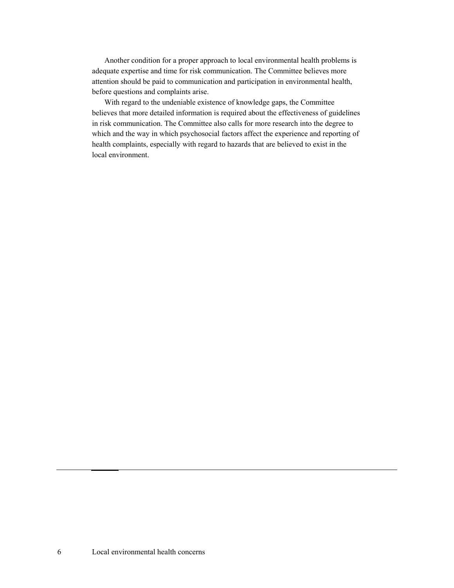Another condition for a proper approach to local environmental health problems is adequate expertise and time for risk communication. The Committee believes more attention should be paid to communication and participation in environmental health, before questions and complaints arise.

With regard to the undeniable existence of knowledge gaps, the Committee believes that more detailed information is required about the effectiveness of guidelines in risk communication. The Committee also calls for more research into the degree to which and the way in which psychosocial factors affect the experience and reporting of health complaints, especially with regard to hazards that are believed to exist in the local environment.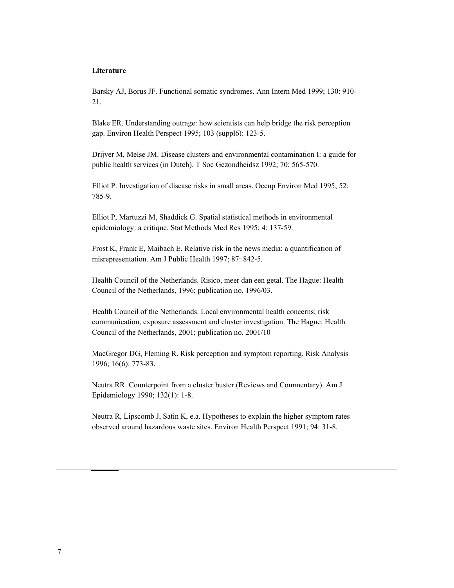#### **Literature**

Barsky AJ, Borus JF. Functional somatic syndromes. Ann Intern Med 1999; 130: 910- 21.

Blake ER. Understanding outrage: how scientists can help bridge the risk perception gap. Environ Health Perspect 1995; 103 (suppl6): 123-5.

Drijver M, Melse JM. Disease clusters and environmental contamination I: a guide for public health services (in Dutch). T Soc Gezondheidsz 1992; 70: 565-570.

Elliot P. Investigation of disease risks in small areas. Occup Environ Med 1995; 52: 785-9.

Elliot P, Martuzzi M, Shaddick G. Spatial statistical methods in environmental epidemiology: a critique. Stat Methods Med Res 1995; 4: 137-59.

Frost K, Frank E, Maibach E. Relative risk in the news media: a quantification of misrepresentation. Am J Public Health 1997; 87: 842-5.

Health Council of the Netherlands. Risico, meer dan een getal. The Hague: Health Council of the Netherlands, 1996; publication no. 1996/03.

Health Council of the Netherlands. Local environmental health concerns; risk communication, exposure assessment and cluster investigation. The Hague: Health Council of the Netherlands, 2001; publication no. 2001/10

MacGregor DG, Fleming R. Risk perception and symptom reporting. Risk Analysis 1996; 16(6): 773-83.

Neutra RR. Counterpoint from a cluster buster (Reviews and Commentary). Am J Epidemiology 1990; 132(1): 1-8.

Neutra R, Lipscomb J, Satin K, e.a. Hypotheses to explain the higher symptom rates observed around hazardous waste sites. Environ Health Perspect 1991; 94: 31-8.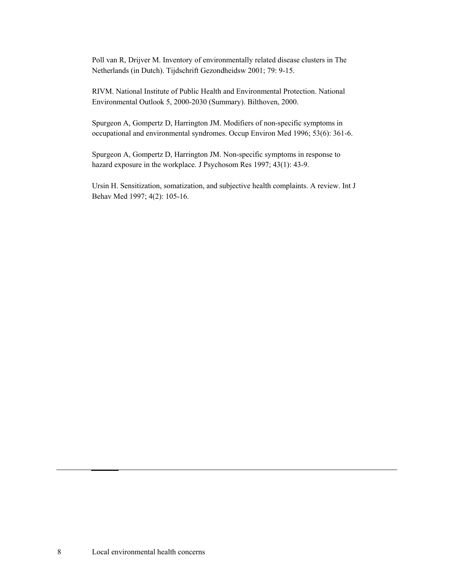Poll van R, Drijver M. Inventory of environmentally related disease clusters in The Netherlands (in Dutch). Tijdschrift Gezondheidsw 2001; 79: 9-15.

RIVM. National Institute of Public Health and Environmental Protection. National Environmental Outlook 5, 2000-2030 (Summary). Bilthoven, 2000.

Spurgeon A, Gompertz D, Harrington JM. Modifiers of non-specific symptoms in occupational and environmental syndromes. Occup Environ Med 1996; 53(6): 361-6.

Spurgeon A, Gompertz D, Harrington JM. Non-specific symptoms in response to hazard exposure in the workplace. J Psychosom Res 1997; 43(1): 43-9.

Ursin H. Sensitization, somatization, and subjective health complaints. A review. Int J Behav Med 1997; 4(2): 105-16.